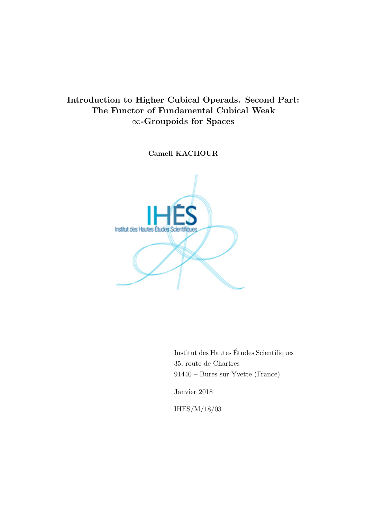# Introduction to Higher Cubical Operads. Second Part: The Functor of Fundamental Cubical Weak ∞-Groupoids for Spaces

Camell KACHOUR



Institut des Hautes Etudes Scientifiques ´ 35, route de Chartres 91440 – Bures-sur-Yvette (France)

Janvier 2018

IHES/M/18/03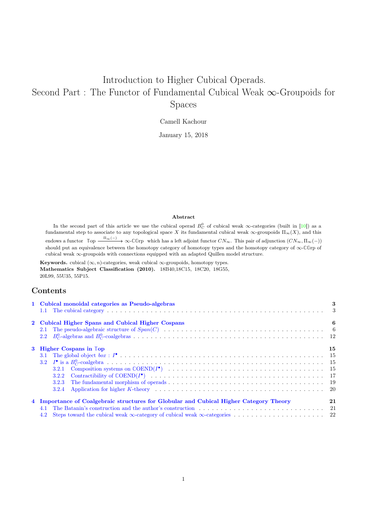# Introduction to Higher Cubical Operads. Second Part : The Functor of Fundamental Cubical Weak ∞-Groupoids for Spaces

Camell Kachour

January 15, 2018

#### Abstract

In the second part of this article we use the cubical operad  $B_C^0$  of cubical weak  $\infty$ -categories (built in [10]) as a fundamental step to associate to any topological space X its fundamental cubical weak  $\infty$ -groupoids  $\Pi_{\infty}(X)$ , and this endows a functor  $\mathbb{Top} \xrightarrow{\Pi_{\infty}(-)} \infty$ - $\mathbb{C}$ Grp which has a left adjoint functor  $CN_{\infty}$ . This pair of adjunction  $(CN_{\infty}, \Pi_{\infty}(-))$ should put an equivalence between the homotopy category of homotopy types and the homotopy category of ∞-**CG**rp of cubical weak ∞-groupoids with connections equipped with an adapted Quillen model structure.

Keywords. cubical  $(\infty, n)$ -categories, weak cubical  $\infty$ -groupoids, homotopy types. Mathematics Subject Classification (2010). 18B40,18C15, 18C20, 18G55, 20L99, 55U35, 55P15.

## Contents

| 1 Cubical monoidal categories as Pseudo-algebras                                       | 3  |
|----------------------------------------------------------------------------------------|----|
| 2 Cubical Higher Spans and Cubical Higher Cospans                                      | 6  |
| 3 Higher Cospans in Top<br>3.2.2<br>3.2.3                                              | 15 |
| 4 Importance of Coalgebraic structures for Globular and Cubical Higher Category Theory | 21 |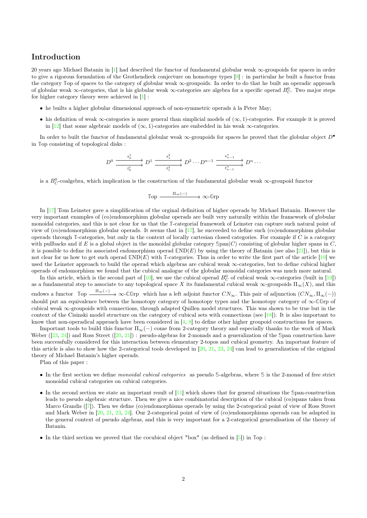## Introduction

20 years ago Michael Batanin in [1] had described the functor of fundamental globular weak ∞-groupoids for spaces in order to give a rigorous formulation of the Grothendieck conjecture on homotopy types [9] : in particular he built a functor from the category **T**op of spaces to the category of globular weak ∞-groupoids. In order to do that he built an operadic approach of globular weak  $\infty$ -categories, that is his globular weak  $\infty$ -categories are algebra for a specific operad  $B_C^0$ . Two major steps for higher category theory were achieved in [1] :

- he builts a higher globular dimensional approach of non-symmetric operads à la Peter May;
- his definition of weak  $\infty$ -categories is more general than simplicial models of  $(\infty, 1)$ -categories. For example it is proved in [12] that some algebraic models of  $(\infty, 1)$ -categories are embedded in his weak  $\infty$ -categories.

In order to built the functor of fundamental globular weak ∞-groupoids for spaces he proved that the globular object D• in **T**op consisting of topological disks :

$$
D^0 \xrightarrow{\begin{array}{c} s_0^1 \end{array}} D^1 \xrightarrow{\begin{array}{c} s_1^2 \end{array}} D^2 \cdots D^{n-1} \xrightarrow{\begin{array}{c} s_{n-1}^n \end{array}} D^n \cdots
$$

is a  $B_C^0$ -coalgebra, which implication is the construction of the fundamental globular weak  $\infty$ -groupoid functor

$$
\mathbb{Top} \xrightarrow{\Pi_\infty(-)} \infty\text{-}{\mathbb{G}rp}
$$

In [17] Tom Leinster gave a simplification of the orginal definition of higher operads by Michael Batanin. However the very important examples of (co)endomorphism globular operads are built very naturally within the framework of globular monoidal categories, and this is not clear for us that the **T**-categorial framework of Leinster can capture such natural point of view of (co)endomorphism globular operads. It seems that in [17], he succeeded to define such (co)endomorphism globular operads through **T**-categories, but only in the context of locally cartesian closed categories. For example if C is a category with pullbacks and if E is a global object in the monoidal globular category  $\text{Span}(C)$  consisting of globular higher spans in  $C$ , it is possible to define its associated endomorphism operad **E**ND(E) by using the theory of Batanin (see also [21]), but this is not clear for us how to get such operad **E**ND(E) with **T**-categories. Thus in order to write the first part of the article [10] we used the Leinster approach to build the operad which algebras are cubical weak ∞-categories, but to define cubical higher operads of endomorphism we found that the cubical analogue of the globular monoidal categories was much more natural.

In this article, which is the second part of  $[10]$ , we use the cubical operad  $B_C^0$  of cubical weak  $\infty$ -categories (built in  $[10]$ ) as a fundamental step to associate to any topological space X its fundamental cubical weak  $\infty$ -groupoids  $\Pi_{\infty}(X)$ , and this endows a functor  $\mathbb{Top} \xrightarrow{\Pi_{\infty}(-)} \infty$ -CGrp which has a left adjoint functor  $CN_{\infty}$ . This pair of adjunction  $(CN_{\infty}, \Pi_{\infty}(-))$ should put an equivalence between the homotopy category of homotopy types and the homotopy category of ∞-**CG**rp of cubical weak ∞-groupoids with connections, through adapted Quillen model structures. This was shown to be true but in the context of the Cisinski model structure on the category of cubical sets with connections (see  $[18]$ ). It is also important to know that non-operadical approach have been considered in  $[4, 8]$  to define other higher groupoid constructions for spaces.

Important tools to build this functor  $\Pi_{\infty}(-)$  come from 2-category theory and especially thanks to the work of Mark Weber ([23, 24]) and Ross Street ([20, 21]) : pseudo-algebras for 2-monads and a generalization of the **S**pan construction have been successfully considered for this interaction between elementary 2-topos and cubical geometry. An important feature of this article is also to show how the 2-categorical tools developed in  $[20, 21, 23, 24]$  can lead to generalization of the original theory of Michael Batanin's higher operads.

Plan of this paper :

- In the first section we define monoidal cubical categories as pseudo **S**-algebras, where **S** is the 2-monad of free strict monoidal cubical categories on cubical categories.
- In the second section we state an important result of [11] which shows that for general situations the **S**pan-construction leads to pseudo algebraic structure. Then we give a nice combinatorial description of the cubical (co)spans taken from Marco Grandis ([7]). Then we define (co)endomorphisms operads by using the 2-categorical point of view of Ross Street and Mark Weber in [20, 21, 23, 24]. Our 2-categorical point of view of (co)endomorphisms operads can be adapted in the general context of pseudo algebras, and this is very important for a 2-categorical generalisation of the theory of Batanin.
- In the third section we proved that the cocubical object "box" (as defined in [5]) in **T**op :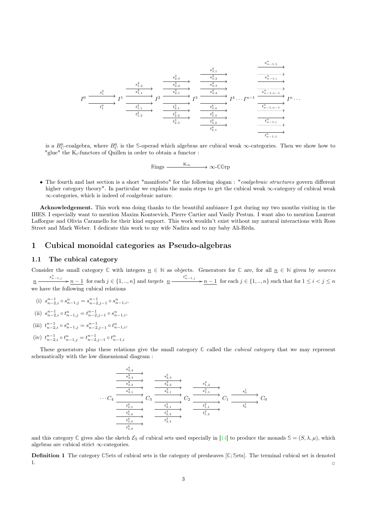$$
I^{0} \xrightarrow{\begin{array}{c} s_{1}^{0} \\ \hline t_{1}^{0} \end{array}} I^{1} \xrightarrow{\begin{array}{c} s_{1,2}^{2} \\ \hline t_{1,2}^{2} \end{array}} I^{2} \xrightarrow{\begin{array}{c} s_{2,3}^{3} \\ \hline s_{2,2}^{3} \end{array}} I^{3} \xrightarrow{\begin{array}{c} s_{3,1}^{4} \\ \hline s_{3,2}^{4} \end{array}} I^{3} \xrightarrow{\begin{array}{c} s_{4,1}^{4} \\ \hline s_{4,3}^{4} \end{array}} I^{4} \cdots I^{n-1} \xrightarrow{\begin{array}{c} s_{n-1,1}^{n} \\ \hline t_{1,2}^{n} \end{array}} I^{n} \cdots \xrightarrow{\begin{array}{c} t_{1,1}^{2} \\ \hline t_{1,2}^{3} \end{array}} I^{2} \xrightarrow{\begin{array}{c} t_{2,1}^{3} \\ \hline t_{2,2}^{3} \end{array}} I^{3} \xrightarrow{\begin{array}{c} t_{3,4}^{4} \\ \hline t_{3,4}^{4} \end{array}} I^{4} \cdots I^{n-1} \xrightarrow{\begin{array}{c} s_{n-1,n-1}^{n} \\ \hline t_{n-1,n-1}^{n} \end{array}} I^{n} \cdots \xrightarrow{\begin{array}{c} t_{1,n-1}^{2} \\ \hline t_{2,3}^{3} \end{array}} I^{n} \xrightarrow{\begin{array}{c} t_{3,2}^{4} \\ \hline t_{3,1}^{4} \end{array}} I^{n} \cdots \xrightarrow{\begin{array}{c} t_{n-1,1}^{n} \\ \hline t_{n-1,1}^{n} \end{array}} I^{n} \cdots
$$

is a  $B_C^0$ -coalgebra, where  $B_C^0$  is the S-operad which algebras are cubical weak  $\infty$ -categories. Then we show how to "glue" the  $K_i$ -functors of Quillen in order to obtain a functor :

 $\mathbb{R} \text{ings} \xrightarrow{\mathbf{K}_{\infty}} \infty$ -**CG**rp

• The fourth and last section is a short "manifesto" for the following slogan : "coalgebraic structures govern different higher category theory". In particular we explain the main steps to get the cubical weak ∞-category of cubical weak ∞-categories, which is indeed of coalgebraic nature.

Acknowledgement. This work was doing thanks to the beautiful ambiance I got during my two months visiting in the IHES. I especially want to mention Maxim Kontsevich, Pierre Cartier and Vasily Pestun. I want also to mention Laurent Lafforgue and Olivia Caramello for their kind support. This work wouldn't exist without my natural interactions with Ross Street and Mark Weber. I dedicate this work to my wife Nadira and to my baby Ali-Réda.

## 1 Cubical monoidal categories as Pseudo-algebras

## 1.1 The cubical category

Consider the small category  $\mathbb C$  with integers  $\underline{n} \in \mathbb N$  as objects. Generators for  $\mathbb C$  are, for all  $\underline{n} \in \mathbb N$  given by sources  $n \longrightarrow \frac{s_{n-1,j}^n}{n-1}$  for each  $j \in \{1, ..., n\}$  and targets  $n \longrightarrow \frac{t_{n-1,j}^n}{n-1}$  for each  $j \in \{1, ..., n\}$  such that for  $1 \leq i < j \leq n$ we have the following cubical relations

- (i)  $s_{n-2,i}^{n-1} \circ s_{n-1,j}^n = s_{n-2,j-1}^{n-1} \circ s_{n-1,i}^n$
- (ii)  $s_{n-2,i}^{n-1} \circ t_{n-1,j}^n = t_{n-2,j-1}^{n-1} \circ s_{n-1,i}^n,$
- (iii)  $t_{n-2,i}^{n-1} \circ s_{n-1,j}^n = s_{n-2,j-1}^{n-1} \circ t_{n-1,i}^n,$
- (iv)  $t_{n-2,i}^{n-1} \circ t_{n-1,j}^n = t_{n-2,j-1}^{n-1} \circ t_{n-1,i}^n$

These generators plus these relations give the small category **C** called the cubical category that we may represent schematically with the low dimensional diagram :

$$
\begin{array}{c}\n\begin{array}{c}\n\overrightarrow{s_{3,4}^4}\n\end{array} & \xrightarrow{s_{2,3}^3}\n\end{array}\n\begin{array}{c}\n\overrightarrow{s_{3,3}^4}\n\end{array}\n\end{array}\n\begin{array}{c}\n\overrightarrow{s_{2,2}^3}\n\end{array}\n\begin{array}{c}\n\overrightarrow{s_{1,2}^2}\n\end{array}\n\end{array}\n\begin{array}{c}\n\overrightarrow{s_{1,1}^2}\n\end{array}\n\begin{array}{c}\n\overrightarrow{s_{1,2}^2}\n\end{array}\n\begin{array}{c}\n\overrightarrow{s_{1,1}^2}\n\end{array}\n\end{array}\n\begin{array}{c}\n\overrightarrow{s_{1,2}^2}\n\end{array}\n\begin{array}{c}\n\overrightarrow{s_{1,1}^2}\n\end{array}\n\begin{array}{c}\n\overrightarrow{s_{1,2}^1}\n\end{array}\n\end{array}\n\begin{array}{c}\n\overrightarrow{s_{1,2}^1}\n\end{array}\n\begin{array}{c}\n\overrightarrow{s_{1,2}^1}\n\end{array}\n\begin{array}{c}\n\overrightarrow{s_{1,1}^1}\n\end{array}\n\end{array}\n\begin{array}{c}\n\overrightarrow{s_{1,2}^1}\n\end{array}\n\begin{array}{c}\n\overrightarrow{s_{1,2}^1}\n\end{array}\n\end{array}\n\begin{array}{c}\n\overrightarrow{s_{1,2}^1}\n\end{array}\n\begin{array}{c}\n\overrightarrow{s_{1,2}^1}\n\end{array}\n\end{array}
$$

and this category  $\mathbb C$  gives also the sketch  $\mathcal E_S$  of cubical sets used especially in [14] to produce the monads  $\mathbb S = (S, \lambda, \mu)$ , which algebras are cubical strict ∞-categories.

Definition 1 The category **CS**ets of cubical sets is the category of presheaves [**C**; **S**ets]. The terminal cubical set is denoted  $1.$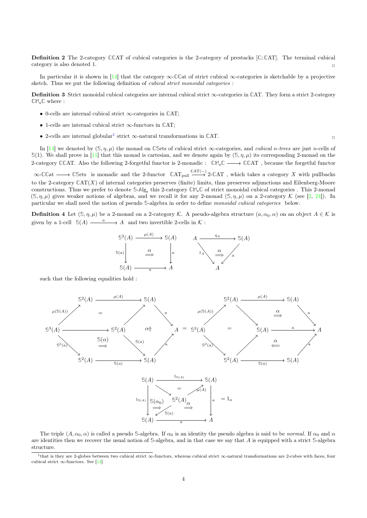Definition 2 The 2-category **CC**AT of cubical categories is the 2-category of prestacks [**C**;**C**AT]. The terminal cubical category is also denoted 1.  $\Box$ 

In particular it is shown in [14] that the category ∞-**CC**at of strict cubical ∞-categories is sketchable by a projective sketch. Thus we put the following definition of cubical strict monoidal categories :

Definition 3 Strict monoidal cubical categories are internal cubical strict ∞-categories in **C**AT. They form a strict 2-category **CM**s**C** where :

- 0-cells are internal cubical strict ∞-categories in **C**AT;
- 1-cells are internal cubical strict ∞-functors in **C**AT;
- 2-cells are internal globular<sup>1</sup> strict  $\infty$ -natural transformations in  $CAT$ .

In [14] we denoted by  $(\mathcal{S}, \eta, \mu)$  the monad on **CSets** of cubical strict  $\infty$ -categories, and *cubical n-trees* are just *n*-cells of  $\mathbb{S}(1)$ . We shall prove in [11] that this monad is cartesian, and we denote again by  $(\mathbb{S}, \eta, \mu)$  its corresponding 2-monad on the 2-category **CC**AT. Also the following 2-forgetful functor is 2-monadic : **CM**s**C CC**AT , because the forgetful functor  $\infty$ -**CC**at  $\longrightarrow$  CSets is monadic and the 2-functor  $\mathbb{C}AT_{pull} \xrightarrow{CAT(-)} 2$ -CAT, which takes a category X with pullbacks to the 2-category **C**AT(X) of internal categories preserves (finite) limits, thus preserves adjunctions and Eilenberg-Moore constructions. Thus we prefer to denote **S**-**A**lg<sup>s</sup> this 2-category **CM**s**C** of strict monoidal cubical categories . This 2-monad

**Definition 4** Let  $(S, \eta, \mu)$  be a 2-monad on a 2-category K. A pseudo-algebra structure  $(a, \alpha_0, \alpha)$  on an object  $A \in \mathcal{K}$  is given by a 1-cell  $\mathbb{S}(A) \longrightarrow A$  and two invertible 2-cells in K:

 $(\mathcal{S}, \eta, \mu)$  gives weaker notions of algebras, and we recall it for any 2-monad  $(\mathcal{S}, \eta, \mu)$  on a 2-category K (see [2, 24]). In

particular we shall need the notion of pseudo **S**-algebra in order to define monoidal cubical categories below.

$$
\begin{array}{ccc}\n\mathbb{S}^2(A) & \xrightarrow{\mu(A)} & \mathbb{S}(A) & A \xrightarrow{\eta_A} & \mathbb{S}(A) \\
\downarrow & & \downarrow & & \downarrow \\
\mathbb{S}(a) & \xrightarrow{a} & A & & \downarrow \\
\mathbb{S}(A) & \xrightarrow{a} & A & & A\n\end{array}
$$

such that the following equalities hold :



The triple  $(A, \alpha_0, \alpha)$  is called a pseudo *S*-algebra. If  $\alpha_0$  is an identity the pseudo algebra is said to be *normal*. If  $\alpha_0$  and  $\alpha$ are identities then we recover the usual notion of **S**-algebra, and in that case we say that A is equipped with a strict **S**-algebra structure.

<sup>1</sup> that is they are 2-globes between two cubical strict ∞-functors, whereas cubical strict ∞-natural transformations are 2-cubes with faces, four cubical strict  $\infty$ -functors. See [14]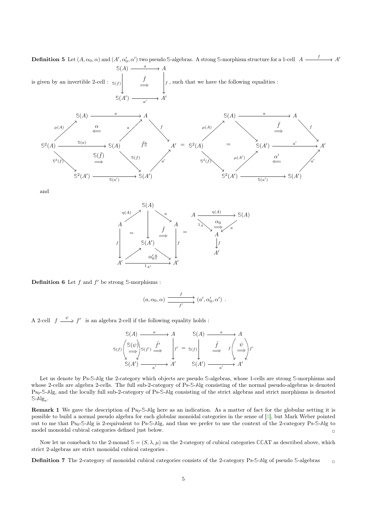**Definition 5** Let  $(A, \alpha_0, \alpha)$  and  $(A', \alpha'_0, \alpha')$  two pseudo S-algebras. A strong S-morphism structure for a 1-cell  $A \longrightarrow A'$ f  $\mathbb{S}(A) \xrightarrow{a} A$ a

is given by an invertible 2-cell : **S**(A<sup>0</sup>  $) \longrightarrow A'$ **S**(f)  $f$ , such that we have the following equalities : a  $\overline{a}$  $\bar{f}$ =⇒



and



**Definition 6** Let  $f$  and  $f'$  be strong  $\mathbb{S}$ -morphisms :

$$
(a,\alpha_0,\alpha) \xrightarrow{f} (a',\alpha'_0,\alpha') .
$$

A 2-cell  $f \stackrel{\psi}{\Longrightarrow} f'$  is an algebra 2-cell if the following equality holds :

$$
S(A) \xrightarrow{a} A \qquad S(A) \xrightarrow{a} A
$$
  
\n
$$
S(f) \begin{pmatrix} S(\psi) \\ \hline \psi \\ \hline \psi \end{pmatrix} S(f') \xrightarrow{f'} \begin{pmatrix} \\ f' \\ \hline \psi \\ \hline \psi \end{pmatrix} f' = S(f) \begin{pmatrix} \\ f \\ \hline \psi \\ \hline \psi \end{pmatrix} f' \xrightarrow{S(A')} \xrightarrow{a'} A'
$$

Let us denote by Ps-**S**-**A**lg the 2-category which objects are pseudo **S**-algebras, whose 1-cells are strong **S**-morphisms and whose 2-cells are algebra 2-cells. The full sub-2-category of Ps-**S**-**A**lg consisting of the normal pseudo-algebras is denoted Ps0-**S**-**A**lg, and the locally full sub-2-category of Ps-**S**-**A**lg consisting of the strict algebras and strict morphisms is denoted  $\mathbb{S}\text{-Alg}_s$ .

Remark 1 We gave the description of Ps<sub>0</sub>-S-Alg here as an indication. As a matter of fact for the globular setting it is possible to build a normal pseudo algebra for each globular monoidal categories in the sense of [1], but Mark Weber pointed out to me that Ps0-**S**-**A**lg is 2-equivalent to Ps-**S**-**A**lg, and thus we prefer to use the context of the 2-category Ps-**S**-**A**lg to model monoidal cubical categories defined just below.

Now let us comeback to the 2-monad  $\mathcal{S} = (S, \lambda, \mu)$  on the 2-category of cubical categories CCAT as described above, which strict 2-algebras are strict monoidal cubical categories .

Definition 7 The 2-category of monoidal cubical categories consists of the 2-category Ps-**S**-**A**lg of pseudo **S**-algebras ✷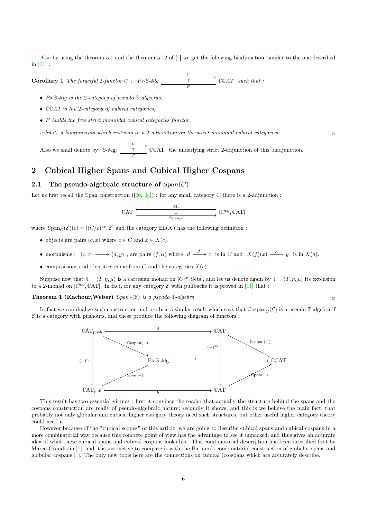Also by using the theorem 5.1 and the theorem 5.12 of  $[2]$  we get the following biadjunction, similar to the one described in [21] :

**Corollary 1** The forgetful 2-functor  $U : P$ s-S-Alg  $\overline{I}$   $\overline{I}$   $\overline{I}$   $\overline{C}$   $\overline{C}AT$  $\top$ F such that :

- Ps-**S**-**A**lg is the 2-category of pseudo **S**-algebras;
- **CC**AT is the 2-category of cubical categories;
- F builds the free strict monoidal cubical categories functor.

exhibits a biadjunction which restricts to a 2-adjunction on the strict monoidal cubical categories.

Also we shall denote by  $S-Alg_s \xrightarrow{\frac{V}{I}} CCAT$  $\top$ F the underlying strict 2-adjunction of this biadjunction.

## 2 Cubical Higher Spans and Cubical Higher Cospans

### 2.1 The pseudo-algebraic structure of  $Span(C)$

Let us first recall the **S**pan construction ([20, 24]) : for any small category C there is a 2-adjunction :

$$
\mathbb{C}\text{AT} \xrightarrow{\mathbb{E}\text{L}} [C^{op}, \mathbb{C}\text{AT}]
$$

where  $\text{Span}_C(\mathcal{E})(c) = [(C/c)^{op}, \mathcal{E}]$  and the category  $\mathbb{E}L(X)$  has the following definition :

- objects are pairs  $(c, x)$  where  $c \in C$  and  $x \in X(c)$ .
- morphisms :  $(c, x) \longrightarrow (d, y)$ , are pairs  $(f, \alpha)$  where  $d \stackrel{f}{\longrightarrow} c$  is in C and  $X(f)(x) \stackrel{\alpha}{\longrightarrow} y$  is in  $X(d)$ .
- compositions and identities come from C and the categories  $X(c)$ .

Suppose now that  $\mathbb{T} = (T, \eta, \mu)$  is a cartesian monad on  $[C^{op}, \text{Sets}]$ , and let us denote again by  $\mathbb{T} = (T, \eta, \mu)$  its extension to a 2-monad on  $[C^{op}, \mathbb{C}AT]$ . In fact, for any category  $\mathcal E$  with pullbacks it is proved in [11] that :

#### **Theorem 1 (Kachour, Weber)**  $\mathcal{S}pan_{\mathcal{C}}(\mathcal{E})$  is a pseudo **T**-algebra

In fact we can dualize such construction and produce a similar result which says that  $\mathbb{C}ospan_{\mathbb{C}}(\mathcal{E})$  is a pseudo **T**-algebra if  $\mathcal E$  is a category with pushouts, and these produce the following diagram of functors :



This result has two essential virtues : first it convince the reader that actually the structure behind the spans and the cospans construction are really of pseudo-algebraic nature; secondly it shows, and this is we believe the main fact, that probably not only globular and cubical higher category theory need such structures, but other useful higher category theory could need it.

However because of the "cubical scopes" of this article, we are going to describe cubical spans and cubical cospans in a more combinatorial way because this concrete point of view has the advantage to see it unpacked, and thus gives an accurate idea of what these cubical spans and cubical cospans looks like. This combinatorial description has been described first by Marco Grandis in [7], and it is instructive to compare it with the Batanin's combinatorial construction of globular spans and globular cospans [1]. The only new tools here are the connections on cubical (co)spans which are accurately describe.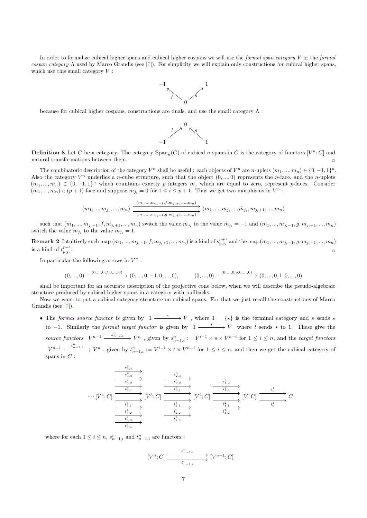In order to formalize cubical higher spans and cubical higher cospans we will use the *formal span category*  $V$  or the *formal* cospan category Λ used by Marco Grandis (see [7]). For simplicity we will explain only constructions for cubical higher spans, which use this small category  $V$ :



because for cubical higher cospans, constructions are duals, and use the small category  $\Lambda$ :



**Definition 8** Let C be a category. The category  $\text{Span}_n(C)$  of cubical *n*-spans in C is the category of functors  $[V^n; C]$  and natural transformations between them.

The combinatoric description of the category  $V^n$  shall be useful: each objects of  $V^n$  are n-uplets  $(m_1, ..., m_n) \in \{0, -1, 1\}^n$ . Also the category  $V^n$  underlies a *n*-cube structure, such that the object  $(0, ..., 0)$  represents the *n*-face, and the *n*-uplets  $(m_1, ..., m_n) \in \{0, -1, 1\}^n$  which countains exactly p integers  $m_j$  which are equal to zero, represent p-faces. Consider  $(m_1, ..., m_n)$  a  $(p+1)$ -face and suppose  $m_{j_i} = 0$  for  $1 \leq i \leq p+1$ . Thus we get two morphisms in  $V^n$ :

$$
(m_1, ..., m_{j_i}, ..., m_n) \xrightarrow{\frac{(m_1, ..., m_{j_i-1}, f, m_{j_i+1}, ..., m_n)}{(m_1, ..., m_{j_i-1}, g, m_{j_i+1}, ..., m_n)}} (m_1, ..., m_{j_i-1}, \hat{m}_{j_i}, m_{j_i+1}, ..., m_n)
$$

such that  $(m_1, ..., m_{j_i-1}, f, m_{j_i+1}, ..., m_n)$  switch the value  $m_{j_i}$  to the value  $\hat{m}_{j_i} = -1$  and  $(m_1, ..., m_{j_i-1}, g, m_{j_i+1}, ..., m_n)$ switch the value  $m_{j_i}$  to the value  $\hat{m}_{j_i} = 1$ .

**Remark 2** Intuitively such map  $(m_1, ..., m_{j_i-1}, f, m_{j_i+1}, ..., m_n)$  is a kind of  $s_{p,j_i}^{p+1}$  and the map  $(m_1, ..., m_{j_i-1}, g, m_{j_i+1}, ..., m_n)$ is a kind of  $t^{p+1}_{p,j_i}$ . ✷

In particular the following arrows in  $V^n$ :

$$
(0, ..., 0) \xrightarrow{(0, ..., 0, f, 0, ..., 0)} (0, ..., 0, -1, 0, ..., 0), \qquad (0, ..., 0) \xrightarrow{(0, ..., 0, g, 0, ..., 0)} (0, ..., 0, 1, 0, ..., 0)
$$

shall be important for an accurate description of the projective cone below, when we will describe the pseudo-algebraic structure produced by cubical higher spans in a category with pullbacks.

Now we want to put a cubical category structure on cubical spans. For that we just recall the constructions of Marco Grandis (see [7]).

• The formal source functor is given by  $1 \xrightarrow{s} V$ , where  $1 = \{ \star \}$  is the terminal category and s sends  $\star$ to  $-1$ . Similarly the *formal target functor* is given by  $1 \xrightarrow{t} V$  where t sends  $\star$  to 1. These give the source functors  $V^{n-1}$   $\xrightarrow{s_{n-1,i}^n} V^n$ , given by  $s_{n-1,i}^n := V^{i-1} \times s \times V^{n-i}$  for  $1 \le i \le n$ , and the target functors  $V^{n-1} \xrightarrow{t_{n-1,i}^n} V^n$ , given by  $t_{n-1,i}^n := V^{i-1} \times t \times V^{n-i}$  for  $1 \leq i \leq n$ , and then we get the cubical category of spans in  $C$  :

$$
\begin{array}{c}\n\begin{array}{c}\n\overrightarrow{s}_{3,4}^{4} \\
\hline\n\end{array} \\
\hline\n\end{array}\n\longrightarrow\n\begin{array}{c}\n\overrightarrow{s}_{3,3}^{4} \\
\hline\n\end{array}\n\end{array}\n\longrightarrow\n\begin{array}{c}\n\overrightarrow{s}_{2,3}^{3} \\
\hline\n\end{array}\n\longrightarrow\n\begin{array}{c}\n\overrightarrow{s}_{2,3}^{3} \\
\hline\n\end{array}\n\end{array}\n\longrightarrow\n\begin{array}{c}\n\overrightarrow{s}_{1,2}^{2} \\
\hline\n\end{array}\n\longrightarrow\n\begin{array}{c}\n\overrightarrow{s}_{1,2}^{2} \\
\hline\n\end{array}\n\longrightarrow\n\begin{array}{c}\n\overrightarrow{s}_{1,1}^{2} \\
\hline\n\end{array}\n\end{array}\n\longrightarrow\n\begin{array}{c}\n\overrightarrow{s}_{1,2}^{2} \\
\hline\n\end{array}\n\longrightarrow\n\begin{array}{c}\n\overrightarrow{s}_{1,1}^{2} \\
\hline\n\end{array}\n\longrightarrow\n\begin{array}{c}\n\overrightarrow{s}_{0}^{1} \\
\hline\n\end{array}\n\longrightarrow\n\begin{array}{c}\n\overrightarrow{s}_{0}^{1} \\
\hline\n\end{array}\n\longrightarrow\n\begin{array}{c}\n\overrightarrow{s}_{0}^{1} \\
\hline\n\end{array}\n\longrightarrow\n\begin{array}{c}\n\overrightarrow{s}_{0}^{1} \\
\hline\n\end{array}\n\longrightarrow\n\begin{array}{c}\n\overrightarrow{s}_{0}^{1} \\
\hline\n\end{array}\n\longrightarrow\n\begin{array}{c}\n\overrightarrow{s}_{0}^{1} \\
\hline\n\end{array}\n\longrightarrow\n\begin{array}{c}\n\overrightarrow{s}_{0}^{1} \\
\hline\n\end{array}\n\longrightarrow\n\begin{array}{c}\n\overrightarrow{s}_{0}^{1} \\
\hline\n\end{array}\n\longrightarrow\n\begin{array}{c}\n\overrightarrow{s}_{0}^{1} \\
\hline\n\end{array}\n\longrightarrow\n\begin{array}{c}\n\overrightarrow{s}_{1,1}^{1} \\
\hline\n\end{array}\n\longrightarrow\n\begin{array}{c}\n\overrightarrow{s}_{0}^{1} \\
\hline\n\end{array}\n\longrightarrow\n\begin{array}{c}\n\overrightarrow{s}_{0}^{1} \\
\hline\n\end{array}\n\longrightarrow\n\begin{array}{c}\n\overrightarrow{s}_{0}^{1} \\
\hline\n\end{array}\n\longrightarrow
$$

where for each  $1 \leq i \leq n$ ,  $s_{n-1,i}^n$  and  $t_{n-1,i}^n$  are functors :

$$
[V^n;C] \xrightarrow{\begin{array}{c} s^n_{n-1,i} \\ \hline t^n_{n-1,i} \end{array}} [V^{n-1};C]
$$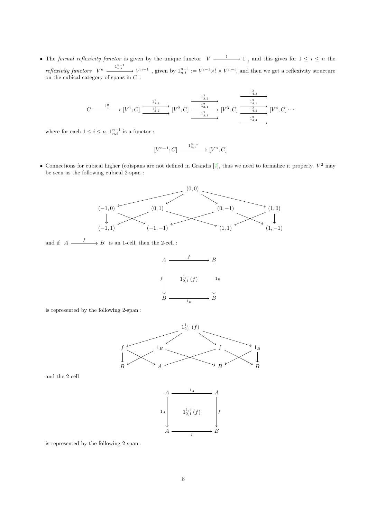• The formal reflexivity functor is given by the unique functor  $V \longrightarrow 1$ , and this gives for  $1 \leq i \leq n$  the  $reflexivity functors \quad V^n \xrightarrow{\qquad 1^{n-1}_{n,i}} V^{n-1}$ , given by  $1^{n-1}_{n,i} := V^{i-1} \times V^{n-i}$ , and then we get a reflexivity structure on the cubical category of spans in  $C$ :

$$
C\stackrel{1^0_1}{\xrightarrow{\hspace*{1cm}}} [V^1;C] \stackrel{1^1_{2,1}}{\xrightarrow{\hspace*{1cm}}} [V^2;C] \stackrel{1^2_{3,2}}{\xrightarrow{\hspace*{1cm}}} [V^3;C] \stackrel{1^3_{4,3}}{\xrightarrow{\hspace*{1cm}}} [V^3;C] \stackrel{1^3_{4,1}}{\xrightarrow{\hspace*{1cm}}} [V^4;C] \cdots
$$

where for each  $1 \leq i \leq n$ ,  $1_{n,i}^{n-1}$  is a functor :

$$
[V^{n-1};C] \xrightarrow{\phantom{a}\mathbf{1}_{n,i}^{n-1}} [V^n;C]
$$

• Connections for cubical higher (co)spans are not defined in Grandis  $[7]$ , thus we need to formalize it properly.  $V^2$  may be seen as the following cubical 2-span :



and if  $A \xrightarrow{f} B$  is an 1-cell, then the 2-cell :



is represented by the following 2-span :



and the 2-cell



is represented by the following 2-span :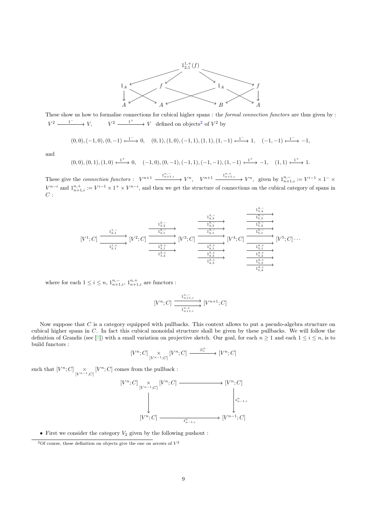

These show us how to formalise connections for cubical higher spans : the *formal connection functors* are thus given by :  $V^2 \longrightarrow V$ ,  $V^2 \longrightarrow V$  defined on objects<sup>2</sup> of  $V^2$  by

$$
(0,0), (-1,0), (0,-1) \xrightarrow{1^-} 0, \quad (0,1), (1,0), (-1,1), (1,1), (1,-1) \xrightarrow{1^-} 1, \quad (-1,-1) \xrightarrow{1^-} -1,
$$

and

$$
(0,0),(0,1),(1,0)\xrightarrow{1^+} 0, \quad (-1,0),(0,-1),(-1,1),(-1,-1),(1,-1)\xrightarrow{1^+} -1, \quad (1,1)\xrightarrow{1^+} 1.
$$

These give the *connection functors* :  $V^{n+1} \xrightarrow{\mathbf{1}_{n+1,i}^{n,-}} V^n$ ,  $V^{n+1} \xrightarrow{\mathbf{1}_{n+1,i}^{n,+}} V^n$ , given by  $\mathbf{1}_{n+1,i}^{n,-} := V^{i-1} \times \mathbf{1}_{n+1}^{-} \times \mathbf{1}_{n+1}^{-}$  $V^{n-i}$  and  $1^{n,+}_{n+1,i} := V^{i-1} \times 1^+ \times V^{n-i}$ , and then we get the structure of connections on the cubical category of spans in  $C:$ 



where for each  $1 \leq i \leq n$ ,  $1^{n,-}_{n+1,i}$ ,  $1^{n,+}_{n+1,i}$  are functors :

$$
[V^n; C] \xrightarrow{\frac{1_{n+1,i}^{n, -}}{n+1,i}} [V^{n+1}; C]
$$

Now suppose that  $C$  is a category equipped with pullbacks. This context allows to put a pseudo-algebra structure on cubical higher spans in C. In fact this cubical monoidal structure shall be given by these pullbacks. We will follow the definition of Grandis (see [7]) with a small variation on projective sketch. Our goal, for each  $n \geq 1$  and each  $1 \leq i \leq n$ , is to build functors :

$$
[V^n;C]\underset{[V^{n-1};C]}{\times}[V^n;C]\xrightarrow{\ \ \ \otimes_i^n\ \ }[V^n;C]
$$

such that  $[V^n; C] \underset{[V^{n-1}; C]}{\times} [V^n; C]$  comes from the pullback :

$$
\begin{aligned}\n[V^n; C] &\underset{[V^{n-1}:C]}{\times} [V^n; C] &\xrightarrow{\qquad} [V^n; C] \\
&\underset{[V^n; C]}{\xrightarrow{\qquad}} \xrightarrow{\qquad} [V^{n-1}:C] \\
&\underset{[V^n; C]}{\xrightarrow{\qquad}} \xrightarrow{\qquad} [V^{n-1}:C]\n\end{aligned}
$$

• First we consider the category  $V_2$  given by the following pushout :

<sup>&</sup>lt;sup>2</sup>Of course, these definition on objects give the one on arrows of  $V^2$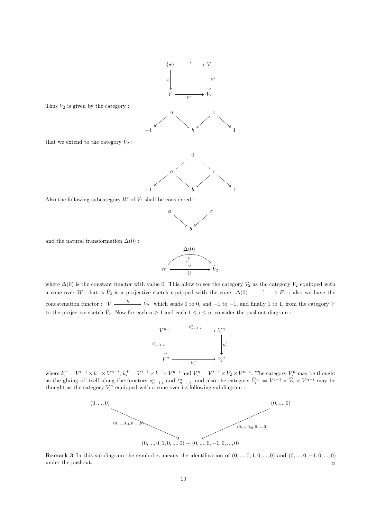

Thus  $V_2$  is given by the category :





Also the following subcategory  $W$  of  $V_2$  shall be considered :



and the natural transformation  $\Delta(0)$ :

$$
W \xrightarrow{\Delta(0)} \hat{V}_2,
$$

where  $\Delta(0)$  is the constant functor with value 0. This allow to see the category  $\hat{V}_2$  as the category  $V_2$  equipped with a cone over W, that is  $\hat{V}_2$  is a projective sketch equipped with the cone  $\Delta(0) \xrightarrow{\tau} F$ ; also we have the concatenation functor :  $V \longrightarrow \hat{V}_2$  which sends 0 to 0, and -1 to -1, and finally 1 to 1, from the category V to the projective sketch  $\hat{V}_2$ . Now for each  $n \geq 1$  and each  $1 \leq i \leq n$ , consider the pushout diagram :



where  $k_i^- = V^{i-1} \times k^- \times V^{n-i}$ ,  $k_i^+ = V^{i-1} \times k^+ \times V^{n-i}$  and  $V_i^n = V^{i-1} \times V_2 \times V^{n-i}$ . The category  $V_i^n$  may be thought as the gluing of itself along the functors  $s_{n-1,i}^n$  and  $t_{n-1,i}^n$ , and also the category  $\hat{V}_i^n := V^{i-1} \times \hat{V}_2 \times V^{n-i}$  may be thought as the category  $V_i^n$  equipped with a cone over its following subdiagram :



Remark 3 In this subdiagram the symbol  $\sim$  means the identification of  $(0, ..., 0, 1, 0, ..., 0)$  and  $(0, ..., 0, -1, 0, ..., 0)$ under the pushout.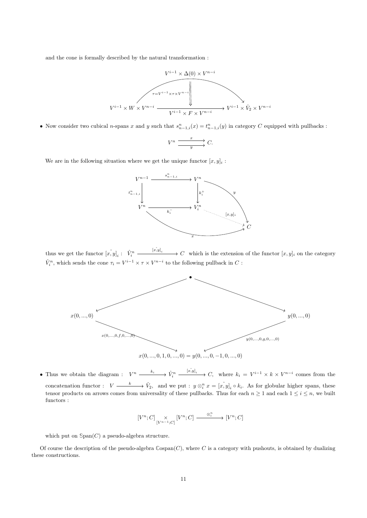and the cone is formally described by the natural transformation :



• Now consider two cubical *n*-spans x and y such that  $s_{n-1,i}^n(x) = t_{n-1,i}^n(y)$  in category C equipped with pullbacks :

$$
V^n \xrightarrow{x} C.
$$

We are in the following situation where we get the unique functor  $[x, y]_i$ :



thus we get the functor  $[x, y]_i : \hat{V}_i^n \xrightarrow{[x, y]_i} C$  which is the extension of the functor  $[x, y]_i$  on the category  $\hat{V}^n_i,$  which sends the cone  $\tau_i = V^{i-1} \times \tau \times V^{n-i}$  to the following pullback in  $C$  :



• Thus we obtain the diagram :  $V^n \xrightarrow{k_i} \hat{V}_i^n \xrightarrow{[x,y]_i} C$ , where  $k_i = V^{i-1} \times k \times V^{n-i}$  comes from the concatenation functor :  $V \longrightarrow \hat{V}_2$ , and we put :  $y \otimes_i^n x = [x, y]_i \circ k_i$ . As for globular higher spans, these tensor products on arrows comes from universality of these pullbacks. Thus for each  $n \ge 1$  and each  $1 \le i \le n$ , we built functors :

$$
[V^n;C]\underset{[V^{n-1};C]}{\times}[V^n;C]\xrightarrow{\ \ \ \otimes_i^n\ \ \ }[V^n;C]
$$

which put on  $\text{Span}(C)$  a pseudo-algebra structure.

Of course the description of the pseudo-algebra  $\mathbb{C}$ ospan $(C)$ , where C is a category with pushouts, is obtained by dualizing these constructions.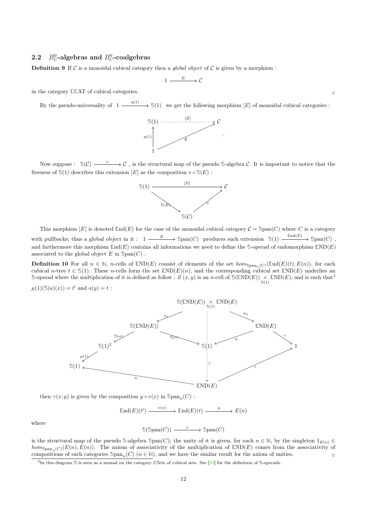## 2.2  $B_C^0$ -algebras and  $B_C^0$ -coalgebras

**Definition 9** If C is a monoidal cubical category then a *global object* of C is given by a morphism :

$$
1 \xrightarrow{E} \mathcal{C}
$$

in the category  $\mathbb{C}$ CAT of cubical categories.

By the pseudo-universality of  $1 \xrightarrow{\eta(1)} \S(1)$  we get the following morphism [E] of monoidal cubical categories :



Now suppose :  $\mathbb{S}(\mathcal{C}) \longrightarrow \mathcal{C}$ , is the structural map of the pseudo S-algebra  $\mathcal{C}$ . It is important to notice that the freeness of  $\mathcal{S}(1)$  describes this extension  $[E]$  as the composition  $v \circ \mathcal{S}(E)$ :



This morphism  $[E]$  is denoted  $\text{End}(E)$  for the case of the monoidal cubical category  $\mathcal{C} = \text{Span}(C)$  where C is a category with pullbacks; thus a global object in it:  $1 \xrightarrow{E} \text{Span}(C)$  produces such extension  $\mathbb{S}(1) \xrightarrow{\text{End}(E)} \text{Span}(C)$ , and furthermore this morphism  $\text{End}(E)$  contains all informations we need to define the S-operad of endomorphism  $\text{END}(E)$ associated to the global object  $E$  in  $\text{Span}(C)$ :

**Definition 10** For all  $n \in \mathbb{N}$ , n-cells of  $\mathbb{E}ND(E)$  consist of elements of the set  $hom_{\text{Span}_n(C)}(\mathbb{E}nd(E)(t), E(n))$ , for each cubical n-tree  $t \in \mathbb{S}(1)$ . These n-cells form the set  $\mathbb{E}ND(E)(n)$ , and the corresponding cubical set  $\mathbb{E}ND(E)$  underlies an S-operad where the multiplication of it is defined as follow: if  $(x, y)$  is an n-cell of  $\mathcal{S}(\text{END}(E)) \times \text{END}(E)$ , and is such that<sup>3</sup>

$$
\mu(1)(\mathbb{S}(a)(x)) = t'
$$
 and  $a(y) = t$ :



then  $\gamma(x; y)$  is given by the composition  $y \circ v(x)$  in  $\text{Span}_v(C)$ :

 $\text{End}(E)(t') \longrightarrow \text{End}(E)(t) \longrightarrow E(n)$  $\mathbb{S}(\text{Span}(C)) \longrightarrow \text{Span}(C)$ 

where

is the structural map of the pseudo *S*-algebra *Span(C)*; the unity of it is given, for each  $n \in \mathbb{N}$ , by the singleton  $1_{E(n)} \in$  $hom_{\text{Span}_{n}(C)}(E(n), E(n))$ . The axiom of associativity of the multiplication of  $\text{END}(E)$  comes from the associativity of compositions of each categories  $\text{Span}_n(C)$  ( $n \in \mathbb{N}$ ), and we have the similar result for the axiom of unities.

<sup>3</sup> In this diagram **S** is seen as a monad on the category **CS**ets of cubical sets. See [10] for the definition of **S**-operads.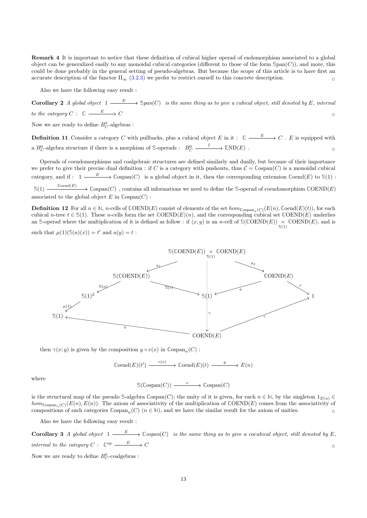Remark 4 It is important to notice that these definition of cubical higher operad of endomorphism associated to a global object can be generalized easily to any monoidal cubical categories (different to those of the form  $\text{Span}(C)$ ), and more, this could be done probably in the general setting of pseudo-algebras. But because the scope of this article is to have first an accurate description of the functor  $\Pi_{\infty}$  (3.2.3) we prefer to restrict ourself to this concrete description.

Also we have the following easy result :

**Corollary 2** A global object  $1 \xrightarrow{E} \text{Span}(C)$  is the same thing as to give a cubical object, still denoted by E, internal to the category  $C: \mathbb{C} \longrightarrow \mathbb{C}$  $\Box$ 

Now we are ready to define  $B_C^0$ -algebras :

**Definition 11** Consider a category C with pullbacks, plus a cubical object E in it :  $\mathbb{C} \longrightarrow E \longrightarrow C$ . E is equipped with a  $B_C^0$ -algebra structure if there is a morphism of S-operads :  $B_C^0 \xrightarrow{f} \mathbb{END}(E)$  $\blacksquare$ 

Operads of coendomorphisms and coalgebraic structures are defined similarly and dually, but because of their importance we prefer to give their precise dual definition : if C is a category with pushouts, thus  $C = \text{Cospan}(C)$  is a monoidal cubical category, and if  $: 1 \longrightarrow E$   $\longrightarrow$   $\mathbb{C}$ ospan $(C)$  is a global object in it, then the corresponding extension  $\mathbb{C}$ oend $(E)$  to  $\mathbb{S}(1)$ :  $\mathbb{S}(1) \longrightarrow \text{Cospan}(C)$ , contains all informations we need to define the S-operad of coendomorphism  $\mathbb{C}OEND(E)$ associated to the global object  $E$  in  $\mathbb{C}$ ospan $(C)$ :

**Definition 12** For all  $n \in \mathbb{N}$ , n-cells of  $\mathbb{COEND}(E)$  consist of elements of the set  $hom_{\mathbb{C}ospan_n(C)}(E(n), \mathbb{C}oend(E)(t))$ , for each cubical n-tree  $t \in \mathbb{S}(1)$ . These n-cells form the set  $\mathbb{COEND}(E)(n)$ , and the corresponding cubical set  $\mathbb{COEND}(E)$  underlies an *S*-operad where the multiplication of it is defined as follow : if  $(x, y)$  is an *n*-cell of  $\mathcal{S}(\mathbb{COEND}(E)) \times \mathbb{COEND}(E)$ , and is  $\mathcal{S}(1)$ 

such that  $\mu(1)(\mathbb{S}(a)(x)) = t'$  and  $a(y) = t$ :



then  $\gamma(x; y)$  is given by the composition  $y \circ v(x)$  in  $\mathbb{C}ospan_n(C)$ :

 $\mathbb{C}$ oend $(E)(t') \longrightarrow \mathbb{C}$ oend $(E)(t) \longrightarrow E(n)$ 

where

 $\mathbb{S}(\mathbb{C}\mathrm{ospan}(C)) \longrightarrow^v \mathbb{C}\mathrm{ospan}(C)$ 

is the structural map of the pseudo  $\text{S-algebra } \text{Cospan}(C)$ ; the unity of it is given, for each  $n \in \mathbb{N}$ , by the singleton  $1_{E(n)} \in$  $hom_{\mathbb{C}(\text{ospan } (C)}(E(n), E(n))$ . The axiom of associativity of the multiplication of  $\mathbb{C}(\text{OEND}(E))$  comes from the associativity of compositions of each categories  $\mathbb{C}$ ospan<sub>n</sub>(C) ( $n \in \mathbb{N}$ ), and we have the similar result for the axiom of unities.

Also we have the following easy result :

**Corollary 3** A global object  $1 \xrightarrow{E} \cospan(C)$  is the same thing as to give a cocubical object, still denoted by E, internal to the category  $C: \mathbb{C}^{op} \longrightarrow^E C$  $\Box$ 

Now we are ready to define  $B_C^0$ -coalgebras :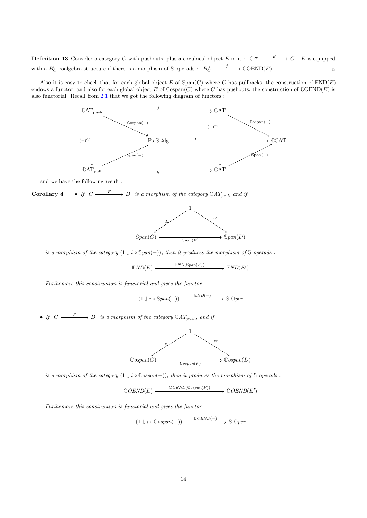**Definition 13** Consider a category C with pushouts, plus a cocubical object E in it:  $\mathbb{C}^{op} \xrightarrow{E} C$ . E is equipped with a  $B_C^0$ -coalgebra structure if there is a morphism of S-operads :  $B_C^0 \xrightarrow{f} \text{COEND}(E)$  $\blacksquare$ 

Also it is easy to check that for each global object E of  $\text{Span}(C)$  where C has pullbacks, the construction of  $\text{END}(E)$ endows a functor, and also for each global object E of  $\text{Cospan}(C)$  where C has pushouts, the construction of  $\text{COEND}(E)$  is also functorial. Recall from 2.1 that we got the following diagram of functors :



and we have the following result :

**Corollary 4** • If  $C \longrightarrow D$  is a morphism of the category  $\mathbb{C}AT_{pull}$ , and if

![](_page_14_Figure_5.jpeg)

is a morphism of the category  $(1 \downarrow i \circ \mathbb{S} pan(-))$ , then it produces the morphism of  $\mathbb{S}$ -operads :

 $\mathbb{E}ND(E) \longrightarrow \mathbb{E}ND(\mathbb{S}pan(F)) \longrightarrow \mathbb{E}ND(E')$ 

Furthemore this construction is functorial and gives the functor

 $(1 \downarrow i \circ \mathbb{S} \text{pan}(-)) \xrightarrow{\mathbb{E} \text{ND}(-)} \mathbb{S} \text{-} \mathbb{O} \text{per}$ 

• If  $C \longrightarrow D$  is a morphism of the category  $\mathbb{C}AT_{push}$ , and if

![](_page_14_Figure_11.jpeg)

is a morphism of the category  $(1 \downarrow i \circ \mathbb{C} \text{ospan}(-))$ , then it produces the morphism of  $\mathbb{S}$ -operads :

 $\mathbb{C}$ OEND(E)  $\xrightarrow{\mathbb{C}$ OEND( $\mathbb{C}^{o}$ ospan(F))  $\longrightarrow \mathbb{C}$ OEND(E')

Furthemore this construction is functorial and gives the functor

 $(1 \downarrow i \circ \mathbb{C} \text{ospan}(-)) \xrightarrow{\mathbb{C} \text{OEND}(-)} \mathbb{S} \text{-} \mathbb{O} \text{per}$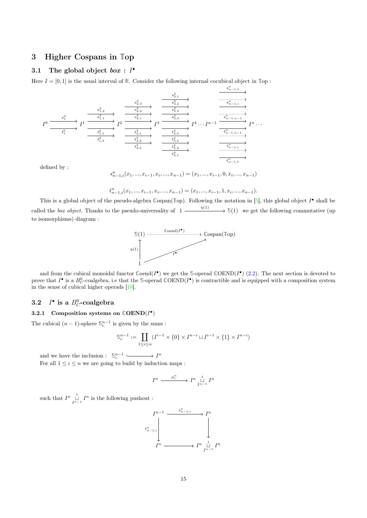## 3 Higher Cospans in **T**op

## 3.1 The global object  $box : I^{\bullet}$

Here  $I = [0, 1]$  is the usual interval of  $\mathbb{R}$ . Consider the following internal cocubical object in  $\mathbb{T}$ op :

$$
I^{0} \xrightarrow{\begin{array}{c} s_{1}^{0} \\ s_{1}^{0} \\ t_{1}^{0} \\ \hline t_{1}^{0} \\ \hline \end{array}} I^{1} \xrightarrow{\begin{array}{c} s_{2,3}^{3} \\ s_{2,2}^{3} \\ \hline \end{array}} I^{2} \xrightarrow{\begin{array}{c} s_{3,1}^{3} \\ s_{3,2}^{3} \\ \hline \end{array}} I^{3} \xrightarrow{\begin{array}{c} s_{3,1}^{4} \\ s_{3,2}^{4} \\ \hline \end{array}} I^{3} \xrightarrow{\begin{array}{c} s_{n-1,1}^{n} \\ s_{n-1,i}^{n} \\ \hline \end{array}} I^{3} \xrightarrow{\begin{array}{c} s_{n-1,1}^{n} \\ s_{n-1,i}^{n} \\ \hline \end{array}} I^{3} \xrightarrow{\begin{array}{c} s_{n-1,1}^{n} \\ s_{n-1,i}^{n} \\ \hline \end{array}} I^{4} \cdots I^{n-1} \xrightarrow{\begin{array}{c} s_{n-1,n-1}^{n} \\ s_{n-1,n-1}^{n} \\ \hline \end{array}} I^{n} \cdots
$$

defined by :

$$
s^n_{n-1,i}(x_1,...,x_{i-1},x_i,...,x_{n-1})=(x_1,...,x_{i-1},0,x_i,...,x_{n-1})
$$

n

$$
t^n_{n-1,i}(x_1,...,x_{i-1},x_i,...,x_{n-1})=(x_1,...,x_{i-1},1,x_i,...,x_{n-1}).
$$

This is a global object of the pseudo-algebra  $\mathbb{C}\text{span}(\mathbb{Top})$ . Following the notation in [5], this global object  $I^{\bullet}$  shall be called the box object. Thanks to the pseudo-universality of  $1 \xrightarrow{\eta(1)} \S(1)$  we get the following commutative (up) to isomorphisms) diagram :

![](_page_15_Figure_8.jpeg)

and from the cubical monoidal functor  $\text{Coend}(I^{\bullet})$  we get the S-operad  $\text{COEND}(I^{\bullet})$  (2.2). The next section is devoted to prove that  $I^{\bullet}$  is a  $B_C^0$ -coalgebra, i.e that the S-operad  $\mathbb{C}OEND(I^{\bullet})$  is contractible and is equipped with a composition system in the sense of cubical higher operads [10].

#### **3.2** • is a  $B_C^0$ -coalgebra

#### 3.2.1 Composition systems on  $\mathbb{COEND}(I^{\bullet})$

The cubical  $(n-1)$ -sphere  $\mathbb{S}_c^{n-1}$  is given by the sums :

$$
\mathbb{S}_c^{n-1}:=\coprod_{1\leq i\leq n}(I^{i-1}\times\{0\}\times I^{n-i}\sqcup I^{i-1}\times\{1\}\times I^{n-i})
$$

and we have the inclusion :  $\mathbb{S}_c^{n-1}$  
contains  $I^n$ 

For all  $1 \leq i \leq n$  we are going to build by induction maps :

$$
I^n \xrightarrow{\quad \mu_i^n \quad} I^n \underset{I^{n-1}}{\overset{i}{\sqcup}} I^n
$$

such that  $I^n \prod_{i=1}^i I^n$  is the following pushout :

![](_page_15_Figure_18.jpeg)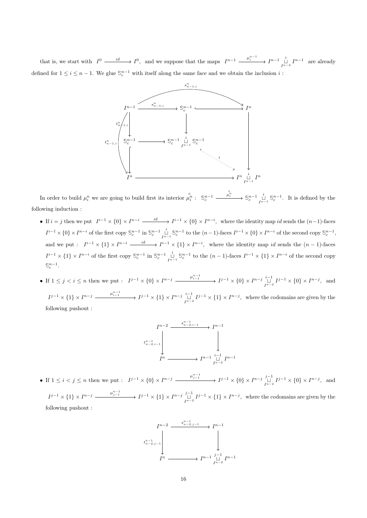that is, we start with  $I^0 \longrightarrow I^0$ , and we suppose that the maps  $I^{n-1} \longrightarrow \mu_i^{n-1} \longrightarrow I^{n-1} \downarrow \atop I^{n-2} \longrightarrow I^{n-1}$  are already defined for  $1 \leq i \leq n-1$ . We glue  $\mathbb{S}_{c}^{n-1}$  with itself along the same face and we obtain the inclusion i:

![](_page_16_Figure_1.jpeg)

In order to build  $\mu_i^n$  we are going to build first its interior  $\stackrel{\circ}{\mu_i^n}$ :  $\mathbb{S}_c^{n-1}$   $\longrightarrow$   $\stackrel{\mu_i^n}{\longrightarrow}$   $\mathbb{S}_c^{n-1}$  $\bigcup_{I^{n-1}}^{i}$  \$ ${}_{c}^{n-1}$ .  $\psi_i^n \longrightarrow \mathbb{S}_c^{n-1}$   $\overset{i}{\Box} \mathbb{S}_c^{n-1}$ . It is defined by the following induction :

- If  $i = j$  then we put  $I^{i-1} \times \{0\} \times I^{n-i} \longrightarrow I^{i-1} \times \{0\} \times I^{n-i}$ , where the identity map id sends the  $(n-1)$ -faces  $I^{i-1} \times \{0\} \times I^{n-i}$  of the first copy  $\mathbb{S}_c^{n-1}$  in  $\mathbb{S}_c^{n-1}$  $\prod_{I^{n-1}}^{i} \mathbb{S}_{c}^{n-1}$  to the  $(n-1)$ -faces  $I^{i-1} \times \{0\} \times I^{n-i}$  of the second copy  $\mathbb{S}_{c}^{n-1}$ , and we put :  $I^{i-1} \times \{1\} \times I^{n-i} \longrightarrow I^{i-1} \times \{1\} \times I^{n-i}$ , where the identity map id sends the  $(n-1)$ -faces  $I^{i-1} \times \{1\} \times I^{n-i}$  of the first copy  $\mathbb{S}_c^{n-1}$  in  $\mathbb{S}_c^{n-1}$  $\prod_{I^{n-1}}^{i}$  *S*<sup>n-1</sup> to the  $(n-1)$ -faces  $I^{i-1} \times \{1\} \times I^{n-i}$  of the second copy  $\mathbb{S}_c^{n-1}$ .
- If  $1 \le j < i \le n$  then we put :  $I^{j-1} \times \{0\} \times I^{n-j}$   $\xrightarrow{\mu_{i-1}^{n-1}} I^{j-1} \times \{0\} \times I^{n-j}$   $\xrightarrow{I^{n-1}} I^{j-1} \times \{0\} \times I^{n-j}$ , and  $I^{j-1} \times \{1\} \times I^{n-j} \longrightarrow I^{j-1} \times \{1\} \times I^{n-j} \underset{I^{n-2}}{\sqcup} I^{j-1} \times \{1\} \times I^{n-j}$ , where the codomains are given by the following pushout :

![](_page_16_Figure_5.jpeg)

• If  $1 \le i < j \le n$  then we put :  $I^{j-1} \times \{0\} \times I^{n-j}$   $\xrightarrow{\mu_{j-1}^{n-1}} I^{j-1} \times \{0\} \times I^{n-j}$   $\xrightarrow{I^{n-1}} I^{j-1} \times \{0\} \times I^{n-j}$ , and  $I^{j-1} \times \{1\} \times I^{n-j} \longrightarrow I^{j-1} \times \{1\} \times I^{n-j} \underset{I^{n-2}}{\cup} I^{j-1} \times \{1\} \times I^{n-j}$ , where the codomains are given by the following pushout :

![](_page_16_Figure_7.jpeg)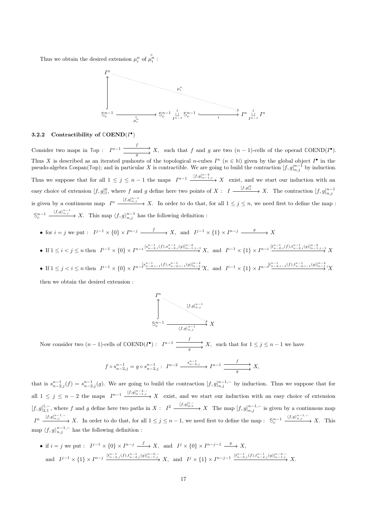Thus we obtain the desired extension  $\mu_i^n$  of  $\hat{\mu}_i^n$ :

![](_page_17_Figure_1.jpeg)

#### 3.2.2 Contractibility of  $\mathbb{C}\text{OEND}(I^{\bullet})$

Consider two maps in  $\mathbb{T}$ op :  $I^{n-1}$   $\xrightarrow{f} X$ ,  $\overrightarrow{g}$  X, such that f and g are two  $(n-1)$ -cells of the operad  $\mathbb{C}OEND(I^{\bullet}).$ Thus X is described as an iterated pushouts of the topological n-cubes  $I^n$  ( $n \in \mathbb{N}$ ) given by the global object  $I^{\bullet}$  in the pseudo-algebra  $\text{Cospan}(\mathbb{Top})$ ; and in particular X is contractible. We are going to build the contraction  $[f,g]_{n,j}^{n-1}$  by induction. Thus we suppose that for all  $1 \leq j \leq n-1$  the maps  $I^{n-1}$   $\xrightarrow{[f,g]_{n-1,j}^{n-2}} X$  exist, and we start our induction with an easy choice of extension  $[f, g]_1^0$ , where f and g define here two points of  $X: I \xrightarrow{[f,g]_1^0} X$ . The contraction  $[f, g]_{n,j}^{n-1}$ is given by a continuous map  $I^n \xrightarrow{[f,g]_{n,j}^{n-1}} X$ . In order to do that, for all  $1 \leq j \leq n$ , we need first to define the map :  $\mathbb{S}_c^{n-1}$   $\xrightarrow{\langle f,g\rangle_{n,j}^{n-1}} X$ . This map  $\langle f,g\rangle_{n,j}^{n-1}$  has the following definition :

- for  $i = j$  we put :  $I^{j-1} \times \{0\} \times I^{n-j} \longrightarrow X$ , and  $I^{j-1} \times \{1\} \times I^{n-j} \longrightarrow X$
- If  $1 \leq i < j \leq n$  then  $I^{i-1} \times \{0\} \times I^{n-i} \frac{[s_{n-2,i}^{n-1}(f), s_{n-2,i}^{n-1}(g)]_{n-1,j-1}^{n-2}}{N} X$ , and  $I^{i-1} \times \{1\} \times I^{n-i} \frac{[t_{n-2,i}^{n-1}(f), t_{n-2,i}^{n-1}(g)]_{n-1,j-1}^{n-2}}{N} X$
- If  $1 \leq j < i \leq n$  then  $I^{i-1} \times \{0\} \times I^{n-\{s_{n-2,i-1}^{n-1}(f), s_{n-2,i-1}^{n-1}(g)\}_{n-1}^{n-2},\mathcal{Y}}$  and  $I^{i-1} \times \{1\} \times I^{n-\{t_{n-2,i-1}^{n-1}(f), t_{n-2,i-1}^{n-1}(g)\}_{n-1}^{n-2},\mathcal{Y}}$

then we obtain the desired extension :

![](_page_17_Figure_8.jpeg)

Now consider two  $(n-1)$ -cells of  $\mathbb{COEND}(I^{\bullet})$ :  $I^{n-1}$   $\xrightarrow{f} X$ ,  $\overrightarrow{g}$  X, such that for  $1 \leq j \leq n-1$  we have

$$
f \circ s_{n-2,j}^{n-1} = g \circ s_{n-2,j}^{n-1}: I^{n-2} \xrightarrow{s_{n-2,j}^{n-1}} I^{n-1} \xrightarrow{f} X,
$$

that is  $s_{n-2,j}^{n-1}(f) = s_{n-2,j}^{n-1}(g)$ . We are going to build the contraction  $[f,g]_{n,j}^{n-1,-}$  by induction. Thus we suppose that for all  $1 \leq j \leq n-2$  the maps  $I^{n-1}$   $\xrightarrow{[f,g]_{n-1,j}^{n-2,-}} X$  exist, and we start our induction with an easy choice of extension  $[f,g]_{2,1}^{1,-}$ , where f and g define here two paths in  $X: I^2 \xrightarrow{[f,g]_{2,1}^{1,-}} X$  The map  $[f,g]_{n,j}^{n-1,-}$  is given by a continuous map  $I^n \xrightarrow{[f,g]_{n,j}^{n-1,-}} X$ . In order to do that, for all  $1 \leq j \leq n-1$ , we need first to define the map :  $\mathbb{S}_c^{n-1} \xrightarrow{(f,g)_{n,j}^{n-1,-}} X$ . This map  $\langle f, g \rangle_{n,j}^{n-1,-}$  has the following definition :

• if  $i = j$  we put :  $I^{j-1} \times \{0\} \times I^{n-j} \longrightarrow X$ , and  $I^j \times \{0\} \times I^{n-j-1} \longrightarrow X$ , and  $I^{j-1} \times \{1\} \times I^{n-j} \xrightarrow{[t_{n-2,j}^{n-1}(f), t_{n-2,j}^{n-1}(g)]_{n-1,j}^{n-2,-}} X$ , and  $I^j \times \{1\} \times I^{n-j-1} \xrightarrow{[t_{n-2,j}^{n-1}(f), t_{n-2,j}^{n-1}(g)]_{n-1,j}^{n-2,-}} X$ .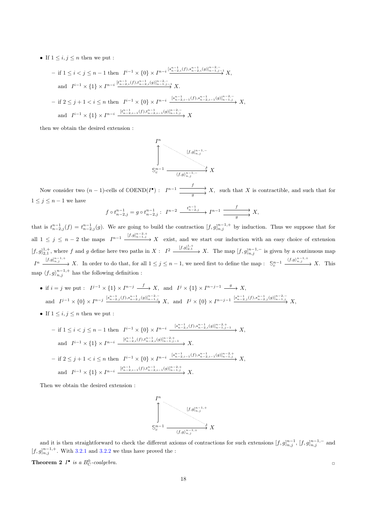• If  $1 \leq i, j \leq n$  then we put :

$$
- \text{ if } 1 \le i < j \le n - 1 \text{ then } I^{i-1} \times \{0\} \times I^{n-i} \xrightarrow{\{s_{n-2,i}^{n-1}(f), s_{n-2,i}^{n-1}(g)\}_{n-1,j-1}^{n-2,\underline{\cdot}} X,
$$
  
\nand  $I^{i-1} \times \{1\} \times I^{n-i} \xrightarrow{\{t_{n-2,i}^{n-1}(f), t_{n-2,i}^{n-1}(g)\}_{n-1,j-1}^{n-2,\underline{\cdot}} X.$   
\n
$$
- \text{ if } 2 \le j+1 < i \le n \text{ then } I^{i-1} \times \{0\} \times I^{n-i} \xrightarrow{\{s_{n-2,i-1}^{n-1}(f), s_{n-2,i-1}^{n-1}(g)\}_{n-1,j}^{n-2,\underline{\cdot}} X,
$$
  
\nand  $I^{i-1} \times \{1\} \times I^{n-i} \xrightarrow{\{t_{n-2,i-1}^{n-1}(f), t_{n-2,i-1}^{n-1}(g)\}_{n-1,j}^{n-2,\underline{\cdot}} X$ 

then we obtain the desired extension :

![](_page_18_Figure_3.jpeg)

Now consider two  $(n-1)$ -cells of  $\mathbb{COEND}(I^{\bullet})$ :  $I^{n-1}$   $\xrightarrow{f} X$ ,  $\xrightarrow{g} X$ , such that X is contractible, and such that for  $1 \leq j \leq n-1$  we have

$$
f \circ t_{n-2,j}^{n-1} = g \circ t_{n-2,j}^{n-1}: I^{n-2} \xrightarrow{t_{n-2,j}^{n-1}} I^{n-1} \xrightarrow{f} X,
$$

that is  $t_{n-2,j}^{n-1}(f) = t_{n-2,j}^{n-1}(g)$ . We are going to build the contraction  $[f,g]_{n,j}^{n-1,+}$  by induction. Thus we suppose that for all  $1 \leq j \leq n-2$  the maps  $I^{n-1}$   $\xrightarrow{[f,g]_{n-1,j}^{n-2,+}} X$  exist, and we start our induction with an easy choice of extension  $[f,g]_{2,1}^{1,+}$ , where f and g define here two paths in  $X: I^2 \xrightarrow{[f,g]_{2,1}^{1,+}} X$ . The map  $[f,g]_{n,j}^{n-1,-}$  is given by a continuous map  $I^n \xrightarrow{[f,g]_{n,j}^{n-1,+}} X$ . In order to do that, for all  $1 \leq j \leq n-1$ , we need first to define the map :  $\mathbb{S}_c^{n-1} \xrightarrow{\langle f,g \rangle_{n,j}^{n-1,+}} X$ . This map  $\langle f, g \rangle_{n,j}^{n-1,+}$  has the following definition :

- if  $i = j$  we put :  $I^{j-1} \times \{1\} \times I^{n-j} \longrightarrow X$ , and  $I^j \times \{1\} \times I^{n-j-1} \longrightarrow X$ ,  $\text{and}\quad I^{j-1}\times\{0\}\times I^{n-j}\xrightarrow{[s^{n-1}_{n-2,j}(f),s^{n-1}_{n-1,j},j]}X,\ \ \text{and}\ \ I^{j}\times\{0\}\times I^{n-j-1}\xrightarrow{[s^{n-1}_{n-2,j}(f),s^{n-1}_{n-2,j}(g)]^{n-2,-}_{n-1,j}}X,$
- If  $1 \leq i, j \leq n$  then we put :

$$
- \text{ if } 1 \leq i < j \leq n - 1 \text{ then } I^{i-1} \times \{0\} \times I^{n-i} \xrightarrow{[s_{n-2,i}^{n-1}(f), s_{n-2,i}^{n-1}(g)]_{n-1,j-1}^{n-2,+}} X,
$$
\n
$$
\text{ and } I^{i-1} \times \{1\} \times I^{n-i} \xrightarrow{[t_{n-2,i}^{n-1}(f), t_{n-2,i}^{n-1}(g)]_{n-1,j-1}^{n-2,+}} X.
$$
\n
$$
- \text{ if } 2 \leq j+1 < i \leq n \text{ then } I^{i-1} \times \{0\} \times I^{n-i} \xrightarrow{[s_{n-2,i-1}^{n-1}(f), s_{n-2,i-1}^{n-1}(g)]_{n-1,j}^{n-2,+}} X,
$$
\n
$$
\text{ and } I^{i-1} \times \{1\} \times I^{n-i} \xrightarrow{[t_{n-2,i-1}^{n-1}(f), t_{n-2,i-1}^{n-2}(g)]_{n-1,j}^{n-2,+}} X.
$$

Then we obtain the desired extension :

![](_page_18_Figure_11.jpeg)

and it is then straightforward to check the different axioms of contractions for such extensions  $[f,g]_{n,j}^{n-1}$ ,  $[f,g]_{n,j}^{n-1,-}$  and  $[f, g]_{n,j}^{n-1,+}$ . With 3.2.1 and 3.2.2 we thus have proved the :

**Theorem 2**  $I^{\bullet}$  is a  $B_C^0$ -coalgebra.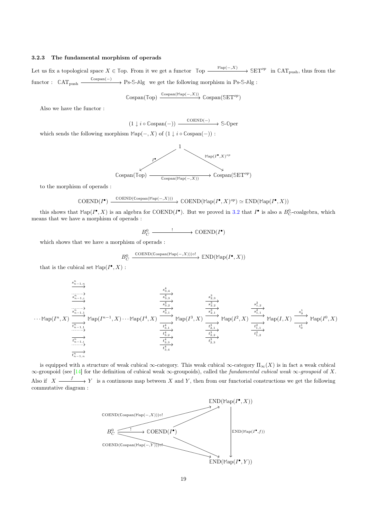### 3.2.3 The fundamental morphism of operads

Let us fix a topological space  $X \in \mathbb{T}$ op. From it we get a functor  $\mathbb{T}$ op  $\xrightarrow{\mathbb{M}ap(-,X)} \mathbb{S}ET^{op}$  in  $\mathbb{C}AT_{push}$ , thus from the  $functor: \quad \mathbb{C}AT_{push} \xrightarrow{\mathbb{C}ospan(-)} \rightarrow \text{Ps-S-Alg}$  we get the following morphism in Ps-S-Alg :

$$
\mathbb{C} \text{ospan}(\mathbb{Top}) \xrightarrow{\mathbb{C} \text{ospan}(\mathbb{Map}(-,X))} \mathbb{C} \text{ospan}(\mathbb{S} \text{ET}^{op})
$$

Also we have the functor :

 $(1 \downarrow i \circ \mathbb{C} \text{ospan}(-)) \xrightarrow{\mathbb{C} \text{OEND}(-)} \mathbb{S}$ - $\mathbb{O} \text{per}$ 

which sends the following morphism  $\mathbb{M}_{\text{ap}}(-, X)$  of  $(1 \downarrow i \circ \mathbb{C}_{\text{OSpan}}(-))$ :

![](_page_19_Figure_6.jpeg)

to the morphism of operads :

$$
\mathbb{COEND}(I^{\bullet}) \xrightarrow{\mathbb{COEND}(\mathbb{C}ospan(\mathbb{M}ap(-,X)))} \mathbb{COEND}(\mathbb{M}ap(I^{\bullet}, X)^{op}) \simeq \mathbb{END}(\mathbb{M}ap(I^{\bullet}, X))
$$

this shows that  $\text{Map}(I^{\bullet}, X)$  is an algebra for  $\text{COEND}(I^{\bullet})$ . But we proved in 3.2 that  $I^{\bullet}$  is also a  $B_C^0$ -coalgebra, which means that we have a morphism of operads :

$$
B_C^0 \xrightarrow{\qquad \qquad !\qquad} \mathbb{C}OEND(I^{\bullet})
$$

which shows that we have a morphism of operads :

$$
B_C^0 \xrightarrow{\text{COEND}(\text{Cospan}(\text{Map}(-,X))) \circ !} \text{END}(\text{Map}(I^{\bullet}, X))
$$

that is the cubical set  $\text{Map}(I^{\bullet}, X)$ :

$$
\xrightarrow{\begin{subarray}{c} s_{n-1,n}^2 \\ \hline s_{n-1,n}^2 \\ \hline \end{subarray}} \xrightarrow{\begin{subarray}{c} s_{n-1,n}^2 \\ \hline s_{n-1,n}^2 \\ \hline \end{subarray}} \text{Map}(I^{n-1},X) \cdots \text{Map}(I^4,X) \xrightarrow{\begin{subarray}{c} s_{3,4}^4 \\ \hline s_{3,2}^4 \\ \hline \end{subarray}} \xrightarrow{\begin{subarray}{c} s_{2,3}^3 \\ \hline s_{3,2}^3 \\ \hline s_{3,1}^2 \\ \hline \end{subarray}} \text{Map}(I^3,X) \xrightarrow{\begin{subarray}{c} s_{3,3}^3 \\ \hline s_{3,2}^3 \\ \hline \end{subarray}} \text{Map}(I^2,X) \xrightarrow{\begin{subarray}{c} s_{1,2}^2 \\ \hline s_{2,1}^3 \\ \hline \end{subarray}} \text{Map}(I^2,X) \xrightarrow{\begin{subarray}{c} s_{1,2}^2 \\ \hline s_{1,1}^2 \\ \hline \end{subarray}} \text{Map}(I,X) \xrightarrow{\begin{subarray}{c} s_{1,2}^1 \\ \hline s_{1,1}^2 \\ \hline \end{subarray}} \text{Map}(I,N) \xrightarrow{\begin{subarray}{c} s_{1,2}^1 \\ \hline s_{1,2}^4 \\ \hline \end{subarray}} \text{Map}(I^4,X) \xrightarrow{\begin{subarray}{c} t_{3,1}^4 \\ \hline t_{3,2}^4 \\ \hline \end{subarray}} \text{Map}(I^3,X) \xrightarrow{\begin{subarray}{c} s_{1,2}^3 \\ \hline t_{2,2}^3 \\ \hline \end{subarray}} \text{Map}(I^2,X) \xrightarrow{\begin{subarray}{c} s_{1,2}^2 \\ \hline t_{1,2}^2 \\ \hline \end{subarray}} \text{Map}(I,N)
$$

is equipped with a structure of weak cubical  $\infty$ -category. This weak cubical  $\infty$ -category  $\Pi_{\infty}(X)$  is in fact a weak cubical  $\infty$ -groupoid (see [14] for the definition of cubical weak  $\infty$ -groupoids), called the *fundamental cubical weak*  $\infty$ -groupoid of X. Also if  $X \xrightarrow{f} Y$  is a continuous map between X and Y, then from our functorial constructions we get the following commutative diagram :

![](_page_19_Figure_16.jpeg)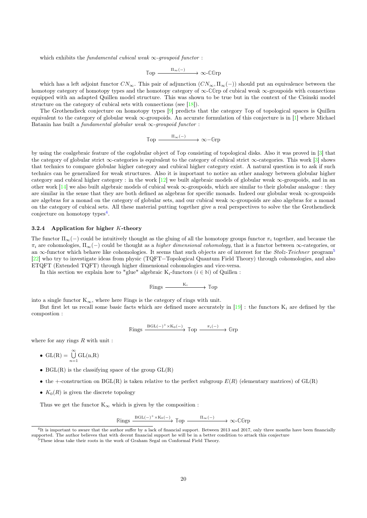which exhibits the fundamental cubical weak  $\infty$ -groupoid functor :

$$
\mathbb{Top} \xrightarrow{\Pi_{\infty}(-)} \infty\text{-}\mathbb{C} \mathbb{G} \mathbb{r} \mathbb{p}
$$

which has a left adjoint functor  $CN_\infty$ . This pair of adjunction  $(CN_\infty, \Pi_\infty(-))$  should put an equivalence between the homotopy category of homotopy types and the homotopy category of ∞-**CG**rp of cubical weak ∞-groupoids with connections equipped with an adapted Quillen model structure. This was shown to be true but in the context of the Cisinski model structure on the category of cubical sets with connections (see  $[18]$ ).

The Grothendieck conjecture on homotopy types [9] predicts that the category **T**op of topological spaces is Quillen equivalent to the category of globular weak ∞-groupoids. An accurate formulation of this conjecture is in [1] where Michael Batanin has built a *fundamental globular weak*  $\infty$ -groupoid functor :

 $\mathbb{T}_{\text{op}} \longrightarrow \infty-\mathbb{G}\text{rp}$ 

by using the coalgebraic feature of the coglobular object of **T**op consisting of topological disks. Also it was proved in [3] that the category of globular strict ∞-categories is equivalent to the category of cubical strict ∞-categories. This work [3] shows that technics to compare globular higher category and cubical higher category exist. A natural question is to ask if such technics can be generalized for weak structures. Also it is important to notice an other analogy between globular higher category and cubical higher category : in the work  $[12]$  we built algebraic models of globular weak  $\infty$ -groupoids, and in an other work [14] we also built algebraic models of cubical weak ∞-groupoids, which are similar to their globular analogue : they are similar in the sense that they are both defined as algebras for specific monads. Indeed our globular weak  $\infty$ -groupoids are algebras for a monad on the category of globular sets, and our cubical weak ∞-groupoids are also algebras for a monad on the category of cubical sets. All these material putting together give a real perspectives to solve the the Grothendieck conjecture on homotopy types<sup>4</sup>.

#### 3.2.4 Application for higher K-theory

The functor  $\Pi_{\infty}(-)$  could be intuitively thought as the gluing of all the homotopy groups functor  $\pi_i$  together, and because the  $\pi_i$  are cohomologies,  $\Pi_{\infty}(-)$  could be thought as a *higher dimensional cohomology*, that is a functor between  $\infty$ -categories, or an  $\infty$ -functor which behave like cohomologies. It seems that such objects are of interest for the Stolz-Teichner program<sup>5</sup> [22] who try to investigate ideas from physic (TQFT=Topological Quantum Field Theory) through cohomologies, and also ETQFT (Extended TQFT) through higher dimensional cohomologies and vice-versa.

In this section we explain how to "glue" algebraic K<sub>i</sub>-functors  $(i \in \mathbb{N})$  of Quillen :

$$
\mathbb{R} \text{ings} \xrightarrow{\qquad K_i} \mathbb{I} \text{op}
$$

into a single functor  $K_{\infty}$ , where here *Rings* is the category of rings with unit.

But first let us recall some basic facts which are defined more accurately in  $[19]$ : the functors  $K_i$  are defined by the compostion :

$$
\mathbb{R} \text{ings} \xrightarrow{\text{BGL}(-)^{+} \times \text{K}_0(-)} \text{Top} \xrightarrow{\pi_i(-)} \text{Grp}
$$

where for any rings  $R$  with unit :

• 
$$
GL(R) = \bigcup_{n=1}^{\infty} GL(n,R)
$$

- $BGL(R)$  is the classifying space of the group  $GL(R)$
- the +-construction on BGL(R) is taken relative to the perfect subgroup  $E(R)$  (elementary matrices) of  $GL(R)$
- $K_0(R)$  is given the discrete topology

Thus we get the functor  $K_{\infty}$  which is given by the composition :

$$
\mathbb{R} \text{ings} \xrightarrow{\text{BGL}(-)^{+} \times \text{K}_{0}(-)} \text{Top} \xrightarrow{\Pi_{\infty}(-)} \infty \text{-CGrp}
$$

 ${}^{4}$ It is important to aware that the author suffer by a lack of financial support. Between 2013 and 2017, only three months have been financially supported. The author believes that with decent financial support he will be in a better condition to attack this conjecture

<sup>5</sup>These ideas take their roots in the work of Graham Segal on Conformal Field Theory.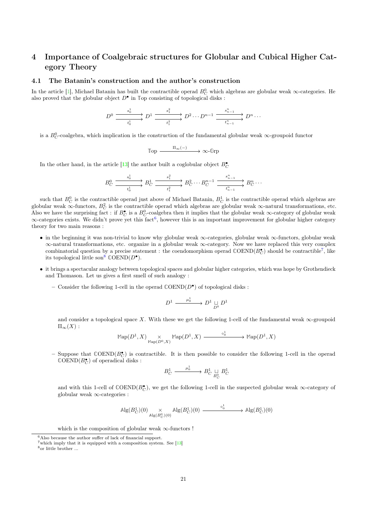## 4 Importance of Coalgebraic structures for Globular and Cubical Higher Category Theory

#### 4.1 The Batanin's construction and the author's construction

In the article [1], Michael Batanin has built the contractible operad  $B_C^0$  which algebras are globular weak  $\infty$ -categories. He also proved that the globular object  $D^{\bullet}$  in  $\mathbb{T}$ op consisting of topological disks :

$$
D^0 \xrightarrow{\begin{array}{c} s_0^1 \\ \hline t_0^1 \end{array}} D^1 \xrightarrow{\begin{array}{c} s_1^2 \\ \hline t_1^2 \end{array}} D^2 \cdots D^{n-1} \xrightarrow{\begin{array}{c} s_{n-1}^n \\ \hline t_{n-1}^n \end{array}} D^n \cdots
$$

is a  $B_C^0$ -coalgebra, which implication is the construction of the fundamental globular weak  $\infty$ -groupoid functor

$$
\mathbb{Top} \xrightarrow{\Pi_{\infty}(-)} \infty\text{-Grp}
$$

In the other hand, in the article [13] the author built a coglobular object  $B_C^{\bullet}$ 

$$
B_C^0 \xrightarrow{\quad s_0^1 \quad \longrightarrow \quad} B_C^1 \xrightarrow{\quad s_1^2 \quad \longrightarrow \quad} B_C^2 \cdots B_C^{n-1} \xrightarrow{\quad s_{n-1}^n \quad \longrightarrow \quad} B_C^n \cdots
$$

such that  $B_C^0$  is the contractible operad just above of Michael Batanin,  $B_C^1$  is the contractible operad which algebras are globular weak ∞-functors,  $B_C^2$  is the contractible operad which algebras are globular weak ∞-natural transformations, etc. Also we have the surprising fact : if  $B_C^{\bullet}$  is a  $B_C^0$ -coalgebra then it implies that the globular weak  $\infty$ -category of globular weak  $\infty$ -categories exists. We didn't prove yet this fact<sup>6</sup>, however this is an important improvement for globular higher category theory for two main reasons :

- in the beginning it was non-trivial to know why globular weak ∞-categories, globular weak ∞-functors, globular weak ∞-natural transformations, etc. organize in a globular weak ∞-category. Now we have replaced this very complex combinatorial question by a precise statement : the coendomorphism operad  $\mathbb{COEND}(B_C^{\bullet})$  should be contractible<sup>7</sup>, like its topological little son<sup>8</sup>  $\mathbb{C}\text{OEND}(D^{\bullet}).$
- it brings a spectacular analogy between topological spaces and globular higher categories, which was hope by Grothendieck and Thomason. Let us gives a first smell of such analogy :
	- Consider the following 1-cell in the operad **C**OEND(D• ) of topological disks :

$$
D^1 \xrightarrow{\quad \mu_0^1 \quad} D^1 \underset{D^0}{\sqcup} D^1
$$

and consider a topological space X. With these we get the following 1-cell of the fundamental weak  $\infty$ -groupoid  $\Pi_{\infty}(X):$ 

$$
\mathbb{M}{\rm ap}(D^1,X) \underset{\mathbb{M}{\rm ap}(D^0,X)}{\times} \mathbb{M}{\rm ap}(D^1,X) \xrightarrow{\quad \ \ \circ^1_0 \quad \ \ } \mathbb{M}{\rm ap}(D^1,X)
$$

 $-$  Suppose that  $\mathbb{C}OEND(B_C^{\bullet})$  is contractible. It is then possible to consider the following 1-cell in the operad  $\mathbb{C}\text{OEND}(B_C^{\bullet})$  of operadical disks :

$$
B_C^1 \xrightarrow{\mu_0^1} B_C^1 \underset{B_C^0}{\sqcup} B_C^1
$$

and with this 1-cell of  $\mathbb{C}OEND(B_C^{\bullet})$ , we get the following 1-cell in the suspected globular weak  $\infty$ -category of globular weak ∞-categories :

$$
\mathrm{Alg}(B_C^1)(0) \underset{\mathrm{Alg}(B_C^0)(0)}{\times} \mathrm{Alg}(B_C^1)(0) \xrightarrow{\qquad \circ_0^1} \mathrm{Alg}(B_C^1)(0)
$$

which is the composition of globular weak  $\infty$ -functors !

 $6$ Also because the author suffer of lack of financial support.

 $7$  which imply that it is equipped with a composition system. See  $[13]$ 

<sup>8</sup>or little brother ...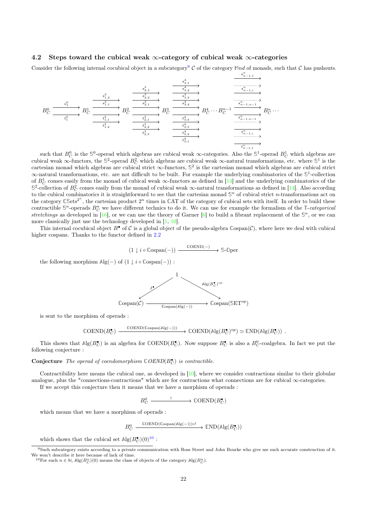#### 4.2 Steps toward the cubical weak  $\infty$ -category of cubical weak  $\infty$ -categories

Consider the following internal cocubical object in a subcategory<sup>9</sup> C of the category  $\mathbb{M}$ nd of monads, such that C has pushouts.

n

.

$$
B_C^0 \xrightarrow{\begin{array}{c} s_1^0 \\ s_1^0 \\ \hline t_1^0 \end{array}} B_C^1 \xrightarrow{\begin{array}{c} s_1^2, s_1^2 \\ \hline s_1^2, s_1^2 \\ \hline t_1^2, s_1^2 \end{array}} B_C^2 \xrightarrow{\begin{array}{c} s_1^2, s_1^2 \\ \hline s_1^2, s_1^2 \\ \hline s_1^2, s_1^2 \end{array}} B_C^3 \xrightarrow{\begin{array}{c} s_1^4, s_1^2 \\ \hline s_1^4, s_1^2 \\ \hline s_1^3, s_1^2 \end{array}} B_C^2 \xrightarrow{\begin{array}{c} s_1^4, s_1^2 \\ \hline s_1^4, s_1^2 \\ \hline t_1^4, s_1^2 \end{array}} B_C^2 \xrightarrow{\begin{array}{c} s_1^2, s_1^2, s_1^2 \\ \hline t_1^4, s_1^2 \\ \hline t_1^4, s_1^2 \end{array}} B_C^1 \xrightarrow{\begin{array}{c} s_1^2, s_1^2, s_1^2 \\ \hline t_1^4, s_1^2 \\ \hline t_1^4, s_1^2 \end{array}} B_C^1 \xrightarrow{\begin{array}{c} s_1^2, s_1^2 \\ \hline t_1^4, s_1^2 \\ \hline t_1^4, s_1^2 \end{array}} B_C^1 \xrightarrow{\begin{array}{c} s_1^2, s_1^2 \\ \hline t_1^4, s_1^2 \\ \hline t_1^4, s_1^2 \end{array}} B_C^1 \xrightarrow{\begin{array}{c} s_1^2, s_1^2 \\ \hline t_1^4, s_1^2 \\ \hline t_1^4, s_1^2 \end{array}} B_C^1 \xrightarrow{\begin{array}{c} s_1^2, s_1^2 \\ \hline t_1^4, s_1^2 \\ \hline t_1^4, s_1^2 \end{array}} B_C^1 \xrightarrow{\begin{array}{c} s_1^2, s_1^2 \\ \hline t_1^4, s_1^2 \\ \hline t_1^4, s_1^2 \end{array}} B_C^1 \xrightarrow{\begin{array}{c} s_1^2, s_1^2 \\ \hline t_1^4, s_1^2 \\ \hline t_1^
$$

such that  $B_C^0$  is the  $\mathbb{S}^0$ -operad which algebras are cubical weak  $\infty$ -categories. Also the  $\mathbb{S}^1$ -operad  $B_C^1$  which algebras are cubical weak  $\infty$ -functors, the  $\mathbb{S}^2$ -operad  $B_C^2$  which algebras are cubical weak  $\infty$ -natural transformations, etc. where  $\mathbb{S}^1$  is the cartesian monad which algebras are cubical strict ∞-functors, **S** 2 is the cartesian monad which algebras are cubical strict ∞-natural transformations, etc. are not difficult to be built. For example the underlying combinatorics of the **S** 1 -collection of  $B_C^1$  comes easily from the monad of cubical weak  $\infty$ -functors as defined in [14] and the underlying combinatorics of the  $\mathbb{S}^2$ -collection of  $B_C^2$  comes easily from the monad of cubical weak  $\infty$ -natural transformations as defined in [14]. Also according to the cubical combinatorics it is straightforward to see that the cartesian monad  $\mathbb{S}^n$  of cubical strict n-transformations act on the category  $\mathbb{C}Sets^{2^n}$ , the cartesian product  $2^n$  times in  $\mathbb{C}AT$  of the category of cubical sets with itself. In order to build these contractible  $\mathbb{S}^n$ -operads  $B_C^n$  we have different technics to do it. We can use for example the formalism of the **T**-categorical stretchings as developed in [16], or we can use the theory of Garner  $[6]$  to build a fibrant replacement of the  $\mathbb{S}^n$ , or we can more classically just use the technology developed in  $[1, 10]$ .

This internal cocubical object  $B^{\bullet}$  of C is a global object of the pseudo-algebra  $\mathbb{C}\text{span}(\mathcal{C})$ , where here we deal with cubical higher cospans. Thanks to the functor defined in 2.2

$$
(1 \downarrow i \circ \text{Cospan}(-)) \xrightarrow{\text{COEND}(-)} \text{S-Dper}
$$

the following morphism  $\mathbb{A}\mathbb{g}(-)$  of  $(1 \downarrow i \circ \mathbb{C}\text{ospan}(-))$ :

![](_page_22_Figure_7.jpeg)

is sent to the morphism of operads :

$$
\mathbb{C}\text{OEND}(B_C^{\bullet}) \xrightarrow{\mathbb{C}\text{ORD}(\mathbb{C}\text{ospan}(\mathbb{A}\text{lg}(-)))} \rightarrow \mathbb{C}\text{OEND}(\mathbb{A}\text{lg}(B_C^{\bullet})^{op}) \simeq \mathbb{E}\text{ND}(\mathbb{A}\text{lg}(B_C^{\bullet}))
$$

This shows that  $\mathbb{A}\lg(B_C^{\bullet})$  is an algebra for  $\mathbb{C}OEND(B_C^{\bullet})$ . Now suppose  $B_C^{\bullet}$  is also a  $B_C^0$ -coalgebra. In fact we put the following conjecture :

**Conjecture** The operad of coendomorphism  $\mathbb{C}$  OEND( $B_C^{\bullet}$ ) is contractible.

Contractibility here means the cubical one, as developed in  $[10]$ , where we consider contractions similar to their globular analogue, plus the "connections-contractions" which are for contractions what connections are for cubical  $\infty$ -categories. If we accept this conjecture then it means that we have a morphism of operads :

 $B_C^0 \longrightarrow \text{COEND}(B_C^{\bullet})$ 

which means that we have a morphism of operads :

 $B_C^0$  $\sum_{C}^{0} \xrightarrow{\text{COEND}(\text{Cospan}(\text{Alg}(-))) \circ !} \text{END}(\text{Alg}(B_C^{\bullet}))$ 

which shows that the cubical set  $\mathbb{A}\text{lg}(B_C^{\bullet})(0)^{10}$ :

 $9$ Such subcategory exists according to a private communication with Ross Street and John Bourke who give me such accurate construction of it.

We won't describe it here because of lack of time.<br><sup>10</sup>For each  $n \in \mathbb{N}$ ,  $\mathbb{Alg}(B_C^n)(0)$  means the class of objects of the category  $\mathbb{Alg}(B_C^n)$ .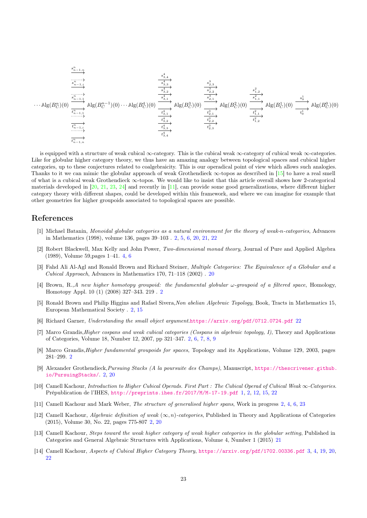· · · **A**lg(B<sup>n</sup> <sup>C</sup> )(0) **A**lg(B n−1 C )(0)· · · **A**lg(B<sup>4</sup> <sup>C</sup> )(0) **A**lg(B<sup>3</sup> <sup>C</sup> )(0) **A**lg(B<sup>2</sup> <sup>C</sup> )(0) **A**lg(B<sup>1</sup> <sup>C</sup> )(0) **A**lg(B<sup>0</sup> <sup>C</sup> )(0) s n n−1,1 t n n−1,1 s n n−1,i t n n−1,i s n n−1,n t n n−1,n s 4 3,1 t 4 3,1 s 4 3,2 t 4 3,2 s 4 3,3 t 4 3,3 s 4 3,4 t 4 3,4 s 3 2,1 t 3 2,1 s 3 2,2 t 3 2,2 s 3 2,3 t 3 2,3 s 2 1,1 t 2 1,1 s 2 1,2 t 2 1,2 s 1 0 t 1 0

is equipped with a structure of weak cubical ∞-category. This is the cubical weak ∞-category of cubical weak ∞-categories. Like for globular higher category theory, we thus have an amazing analogy between topological spaces and cubical higher categories, up to these conjectures related to coalgebraicity. This is our operadical point of view which allows such analogies. Thanks to it we can mimic the globular approach of weak Grothendieck ∞-topos as described in [15] to have a real smell of what is a cubical weak Grothendieck ∞-topos. We would like to insist that this article overall shows how 2-categorical materials developed in  $[20, 21, 23, 24]$  and recently in  $[11]$ , can provide some good generalizations, where different higher category theory with different shapes, could be developed within this framework, and where we can imagine for example that other geometries for higher groupoids associated to topological spaces are possible.

## References

- [1] Michael Batanin, Monoidal globular categories as a natural environment for the theory of weak-n-categories, Advances in Mathematics (1998), volume 136, pages 39–103 . 2, 5, 6, 20, 21, 22
- [2] Robert Blackwell, Max Kelly and John Power, Two-dimensional monad theory, Journal of Pure and Applied Algebra (1989), Volume 59,pages 1–41. 4, 6
- [3] Fahd Ali Al-Agl and Ronald Brown and Richard Steiner, Multiple Categories: The Equivalence of a Globular and a Cubical Approach, Advances in Mathematics 170, 71–118 (2002) . 20
- [4] Brown, R.,A new higher homotopy groupoid: the fundamental globular  $\omega$ -groupoid of a filtered space, Homology, Homotopy Appl. 10 (1) (2008) 327–343. 219 . 2
- [5] Ronald Brown and Philip Higgins and Rafael Sivera, Non abelian Algebraic Topology, Book, Tracts in Mathematics 15, European Mathematical Society . 2, 15
- [6] Richard Garner, Understanding the small object argument.https://arxiv.org/pdf/0712.0724.pdf 22
- [7] Marco Grandis,Higher cospans and weak cubical categories (Cospans in algebraic topology, I), Theory and Applications of Categories, Volume 18, Number 12, 2007, pp 321–347. 2, 6, 7, 8, 9
- [8] Marco Grandis,Higher fundamental groupoids for spaces, Topology and its Applications, Volume 129, 2003, pages 281–299. 2
- [9] Alexander Grothendieck,Pursuing Stacks (A la poursuite des Champs), Manuscript, https://thescrivener.github. io/PursuingStacks/. 2, 20
- [10] Camell Kachour, Introduction to Higher Cubical Operads. First Part : The Cubical Operad of Cubical Weak ∞-Categories. Prépublication de l'IHES, http://preprints.ihes.fr/2017/M/M-17-19.pdf 1, 2, 12, 15, 22
- [11] Camell Kachour and Mark Weber, The structure of generalised higher spans, Work in progress 2, 4, 6, 23
- [12] Camell Kachour, *Algebraic definition of weak*  $(\infty, n)$ -categories, Published in Theory and Applications of Categories (2015), Volume 30, No. 22, pages 775-807 2, 20
- [13] Camell Kachour, Steps toward the weak higher category of weak higher categories in the globular setting, Published in Categories and General Algebraic Structures with Applications, Volume 4, Number 1 (2015) 21
- [14] Camell Kachour, Aspects of Cubical Higher Category Theory, https://arxiv.org/pdf/1702.00336.pdf 3, 4, 19, 20, 22